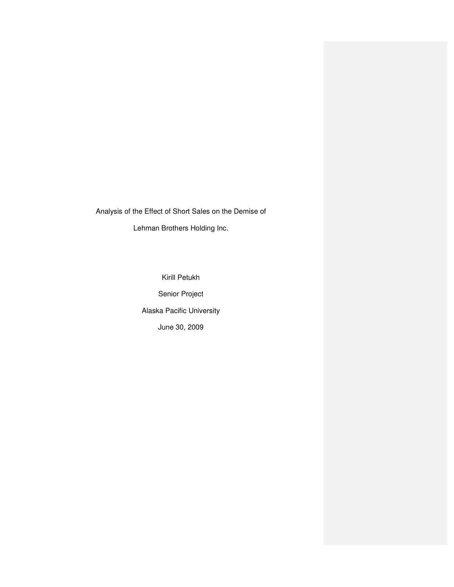Analysis of the Effect of Short Sales on the Demise of Lehman Brothers Holding Inc.

> Kirill Petukh Senior Project Alaska Pacific University June 30, 2009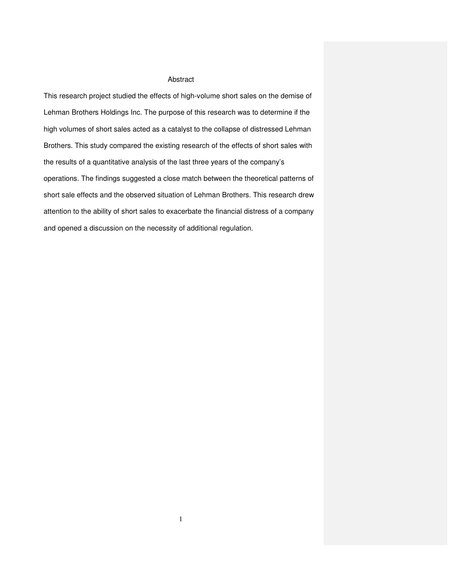### Abstract

This research project studied the effects of high-volume short sales on the demise of Lehman Brothers Holdings Inc. The purpose of this research was to determine if the high volumes of short sales acted as a catalyst to the collapse of distressed Lehman Brothers. This study compared the existing research of the effects of short sales with the results of a quantitative analysis of the last three years of the company's operations. The findings suggested a close match between the theoretical patterns of short sale effects and the observed situation of Lehman Brothers. This research drew attention to the ability of short sales to exacerbate the financial distress of a company and opened a discussion on the necessity of additional regulation.

1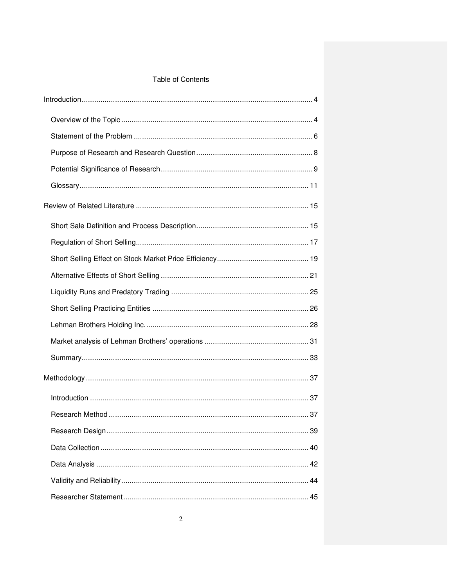# Table of Contents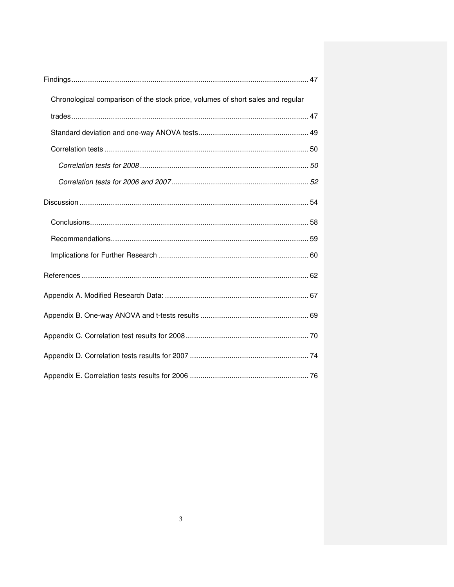| Chronological comparison of the stock price, volumes of short sales and regular |
|---------------------------------------------------------------------------------|
|                                                                                 |
|                                                                                 |
|                                                                                 |
|                                                                                 |
|                                                                                 |
|                                                                                 |
|                                                                                 |
|                                                                                 |
|                                                                                 |
|                                                                                 |
|                                                                                 |
|                                                                                 |
|                                                                                 |
|                                                                                 |
|                                                                                 |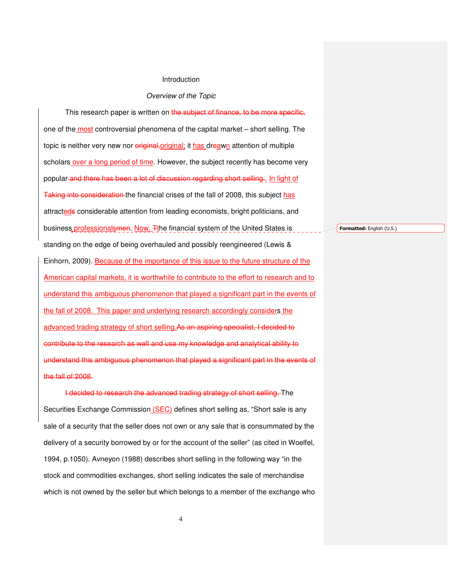#### Introduction

#### Overview of the Topic

This research paper is written on the subject of finance, to be more specific, one of the most controversial phenomena of the capital market – short selling. The topic is neither very new nor *eriginal-original;* it has dreawn attention of multiple scholars over a long period of time. However, the subject recently has become very popular and there has been a lot of discussion regarding short selling.. In light of Taking into consideration the financial crises of the fall of 2008, this subject has attracteds considerable attention from leading economists, bright politicians, and business professionalsmen. Now, Tthe financial system of the United States is standing on the edge of being overhauled and possibly reengineered (Lewis & Einhorn, 2009). Because of the importance of this issue to the future structure of the American capital markets, it is worthwhile to contribute to the effort to research and to understand this ambiguous phenomenon that played a significant part in the events of the fall of 2008. This paper and underlying research accordingly considers the advanced trading strategy of short selling.As an aspiring specialist, I decided to contribute to the research as well and use my knowledge and analytical ability to understand this ambiguous phenomenon that played a significant part in the events of the fall of 2008.

I decided to research the advanced trading strategy of short selling. The Securities Exchange Commission (SEC) defines short selling as, "Short sale is any sale of a security that the seller does not own or any sale that is consummated by the delivery of a security borrowed by or for the account of the seller" (as cited in Woelfel, 1994, p.1050). Avneyon (1988) describes short selling in the following way "in the stock and commodities exchanges, short selling indicates the sale of merchandise which is not owned by the seller but which belongs to a member of the exchange who Formatted: English (U.S.)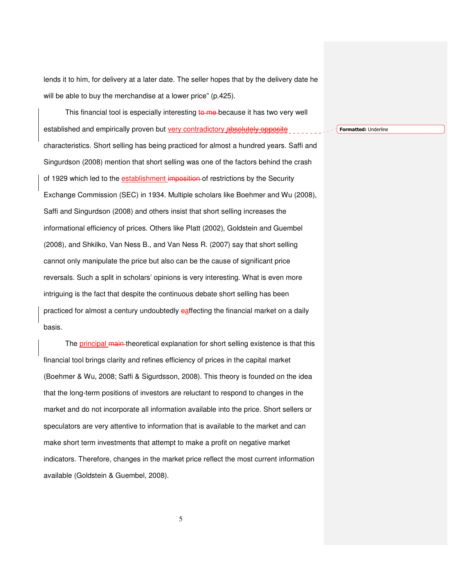lends it to him, for delivery at a later date. The seller hopes that by the delivery date he will be able to buy the merchandise at a lower price" (p.425).

This financial tool is especially interesting to me because it has two very well established and empirically proven but very contradictory absolutely opposite characteristics. Short selling has being practiced for almost a hundred years. Saffi and Singurdson (2008) mention that short selling was one of the factors behind the crash of 1929 which led to the establishment imposition of restrictions by the Security Exchange Commission (SEC) in 1934. Multiple scholars like Boehmer and Wu (2008), Saffi and Singurdson (2008) and others insist that short selling increases the informational efficiency of prices. Others like Platt (2002), Goldstein and Guembel (2008), and Shkilko, Van Ness B., and Van Ness R. (2007) say that short selling cannot only manipulate the price but also can be the cause of significant price reversals. Such a split in scholars' opinions is very interesting. What is even more intriguing is the fact that despite the continuous debate short selling has been practiced for almost a century undoubtedly eaffecting the financial market on a daily basis.

The principal main theoretical explanation for short selling existence is that this financial tool brings clarity and refines efficiency of prices in the capital market (Boehmer & Wu, 2008; Saffi & Sigurdsson, 2008). This theory is founded on the idea that the long-term positions of investors are reluctant to respond to changes in the market and do not incorporate all information available into the price. Short sellers or speculators are very attentive to information that is available to the market and can make short term investments that attempt to make a profit on negative market indicators. Therefore, changes in the market price reflect the most current information available (Goldstein & Guembel, 2008).

Formatted: Underline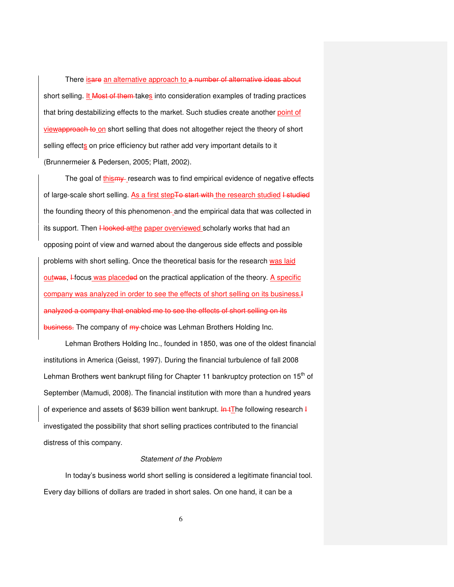There isare an alternative approach to a number of alternative ideas about short selling. It Most of them takes into consideration examples of trading practices that bring destabilizing effects to the market. Such studies create another point of viewapproach to on short selling that does not altogether reject the theory of short selling effects on price efficiency but rather add very important details to it (Brunnermeier & Pedersen, 2005; Platt, 2002).

The goal of thismy research was to find empirical evidence of negative effects of large-scale short selling. As a first stepTo start with the research studied I studied the founding theory of this phenomenon-and the empirical data that was collected in its support. Then Hooked atthe paper overviewed scholarly works that had an opposing point of view and warned about the dangerous side effects and possible problems with short selling. Once the theoretical basis for the research was laid outwas, Hocus was placeded on the practical application of the theory. A specific company was analyzed in order to see the effects of short selling on its business.I analyzed a company that enabled me to see the effects of short selling on its business. The company of  $m\gamma$ -choice was Lehman Brothers Holding Inc.

Lehman Brothers Holding Inc., founded in 1850, was one of the oldest financial institutions in America (Geisst, 1997). During the financial turbulence of fall 2008 Lehman Brothers went bankrupt filing for Chapter 11 bankruptcy protection on 15<sup>th</sup> of September (Mamudi, 2008). The financial institution with more than a hundred years of experience and assets of \$639 billion went bankrupt. In tThe following research I investigated the possibility that short selling practices contributed to the financial distress of this company.

## Statement of the Problem

In today's business world short selling is considered a legitimate financial tool. Every day billions of dollars are traded in short sales. On one hand, it can be a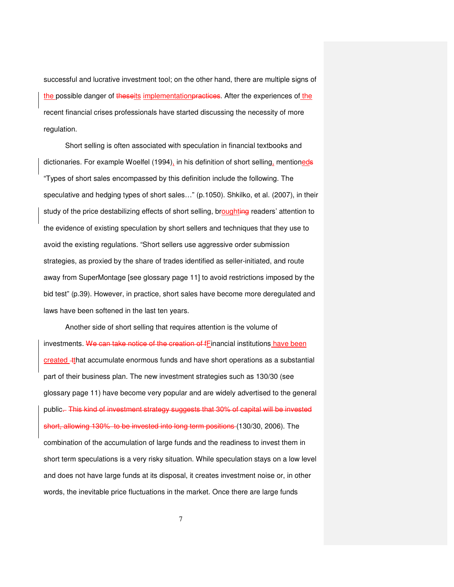successful and lucrative investment tool; on the other hand, there are multiple signs of the possible danger of theseits implementation practices. After the experiences of the recent financial crises professionals have started discussing the necessity of more regulation.

Short selling is often associated with speculation in financial textbooks and dictionaries. For example Woelfel (1994), in his definition of short selling, mentioneds "Types of short sales encompassed by this definition include the following. The speculative and hedging types of short sales…" (p.1050). Shkilko, et al. (2007), in their study of the price destabilizing effects of short selling, broughting readers' attention to the evidence of existing speculation by short sellers and techniques that they use to avoid the existing regulations. "Short sellers use aggressive order submission strategies, as proxied by the share of trades identified as seller-initiated, and route away from SuperMontage [see glossary page 11] to avoid restrictions imposed by the bid test" (p.39). However, in practice, short sales have become more deregulated and laws have been softened in the last ten years.

Another side of short selling that requires attention is the volume of investments. We can take notice of the creation of fFinancial institutions have been created -tthat accumulate enormous funds and have short operations as a substantial part of their business plan. The new investment strategies such as 130/30 (see glossary page 11) have become very popular and are widely advertised to the general public. This kind of investment strategy suggests that 30% of capital will be invested short, allowing 130% to be invested into long term positions (130/30, 2006). The combination of the accumulation of large funds and the readiness to invest them in short term speculations is a very risky situation. While speculation stays on a low level and does not have large funds at its disposal, it creates investment noise or, in other words, the inevitable price fluctuations in the market. Once there are large funds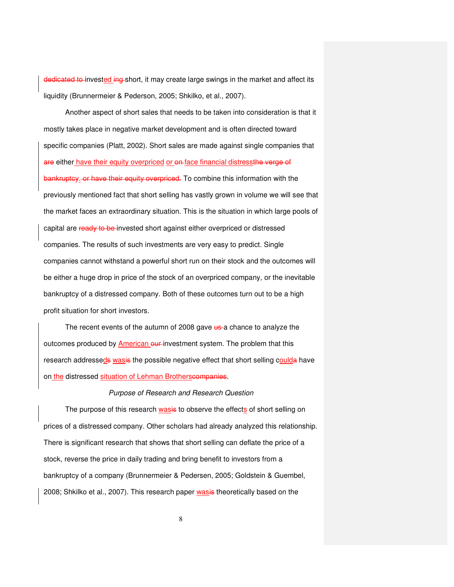dedicated to invested ing short, it may create large swings in the market and affect its liquidity (Brunnermeier & Pederson, 2005; Shkilko, et al., 2007).

Another aspect of short sales that needs to be taken into consideration is that it mostly takes place in negative market development and is often directed toward specific companies (Platt, 2002). Short sales are made against single companies that are either have their equity overpriced or  $\theta$ -face financial distressthe verge of bankruptcy. or have their equity overpriced. To combine this information with the previously mentioned fact that short selling has vastly grown in volume we will see that the market faces an extraordinary situation. This is the situation in which large pools of capital are ready to be invested short against either overpriced or distressed companies. The results of such investments are very easy to predict. Single companies cannot withstand a powerful short run on their stock and the outcomes will be either a huge drop in price of the stock of an overpriced company, or the inevitable bankruptcy of a distressed company. Both of these outcomes turn out to be a high profit situation for short investors.

The recent events of the autumn of 2008 gave us a chance to analyze the outcomes produced by American our investment system. The problem that this research addresseds wasis the possible negative effect that short selling coulda have on the distressed situation of Lehman Brotherscompanies.

### Purpose of Research and Research Question

The purpose of this research wasis to observe the effects of short selling on prices of a distressed company. Other scholars had already analyzed this relationship. There is significant research that shows that short selling can deflate the price of a stock, reverse the price in daily trading and bring benefit to investors from a bankruptcy of a company (Brunnermeier & Pedersen, 2005; Goldstein & Guembel, 2008; Shkilko et al., 2007). This research paper wasis theoretically based on the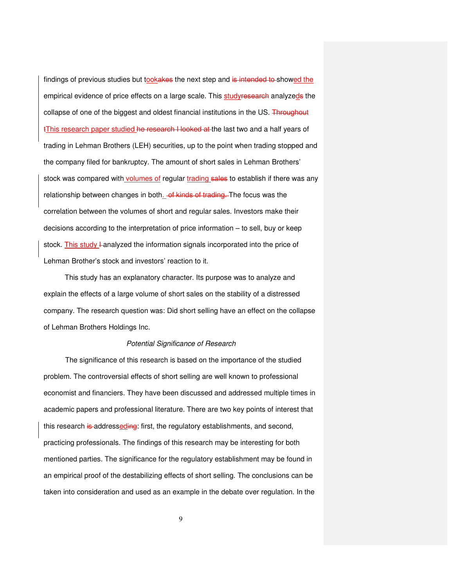findings of previous studies but tookakes the next step and is intended to showed the empirical evidence of price effects on a large scale. This studyresearch analyzeds the collapse of one of the biggest and oldest financial institutions in the US. Throughout tThis research paper studied he research I looked at the last two and a half years of trading in Lehman Brothers (LEH) securities, up to the point when trading stopped and the company filed for bankruptcy. The amount of short sales in Lehman Brothers' stock was compared with volumes of regular trading sales to establish if there was any relationship between changes in both. of kinds of trading. The focus was the correlation between the volumes of short and regular sales. Investors make their decisions according to the interpretation of price information – to sell, buy or keep stock. This study I analyzed the information signals incorporated into the price of Lehman Brother's stock and investors' reaction to it.

This study has an explanatory character. Its purpose was to analyze and explain the effects of a large volume of short sales on the stability of a distressed company. The research question was: Did short selling have an effect on the collapse of Lehman Brothers Holdings Inc.

### Potential Significance of Research

The significance of this research is based on the importance of the studied problem. The controversial effects of short selling are well known to professional economist and financiers. They have been discussed and addressed multiple times in academic papers and professional literature. There are two key points of interest that this research is addresseding: first, the regulatory establishments, and second, practicing professionals. The findings of this research may be interesting for both mentioned parties. The significance for the regulatory establishment may be found in an empirical proof of the destabilizing effects of short selling. The conclusions can be taken into consideration and used as an example in the debate over regulation. In the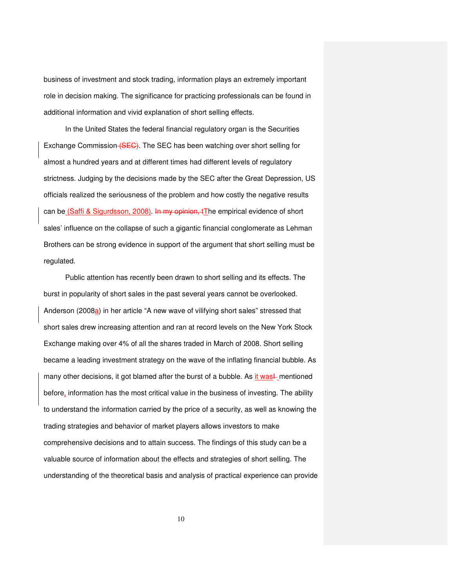business of investment and stock trading, information plays an extremely important role in decision making. The significance for practicing professionals can be found in additional information and vivid explanation of short selling effects.

In the United States the federal financial regulatory organ is the Securities Exchange Commission (SEG). The SEC has been watching over short selling for almost a hundred years and at different times had different levels of regulatory strictness. Judging by the decisions made by the SEC after the Great Depression, US officials realized the seriousness of the problem and how costly the negative results can be (Saffi & Sigurdsson, 2008). In my opinion, tThe empirical evidence of short sales' influence on the collapse of such a gigantic financial conglomerate as Lehman Brothers can be strong evidence in support of the argument that short selling must be regulated.

Public attention has recently been drawn to short selling and its effects. The burst in popularity of short sales in the past several years cannot be overlooked. Anderson (2008a) in her article "A new wave of vilifying short sales" stressed that short sales drew increasing attention and ran at record levels on the New York Stock Exchange making over 4% of all the shares traded in March of 2008. Short selling became a leading investment strategy on the wave of the inflating financial bubble. As many other decisions, it got blamed after the burst of a bubble. As it was<sup> $\perp$ </sup> mentioned before, information has the most critical value in the business of investing. The ability to understand the information carried by the price of a security, as well as knowing the trading strategies and behavior of market players allows investors to make comprehensive decisions and to attain success. The findings of this study can be a valuable source of information about the effects and strategies of short selling. The understanding of the theoretical basis and analysis of practical experience can provide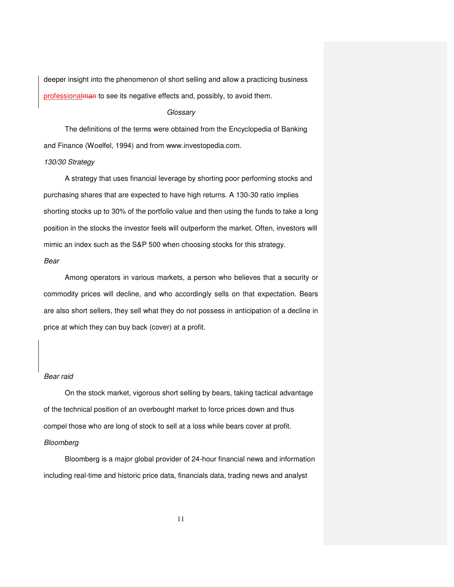deeper insight into the phenomenon of short selling and allow a practicing business professional man to see its negative effects and, possibly, to avoid them.

#### **Glossary**

 The definitions of the terms were obtained from the Encyclopedia of Banking and Finance (Woelfel, 1994) and from www.investopedia.com.

### 130/30 Strategy

A strategy that uses financial leverage by shorting poor performing stocks and purchasing shares that are expected to have high returns. A 130-30 ratio implies shorting stocks up to 30% of the portfolio value and then using the funds to take a long position in the stocks the investor feels will outperform the market. Often, investors will mimic an index such as the S&P 500 when choosing stocks for this strategy.

# Bear

Among operators in various markets, a person who believes that a security or commodity prices will decline, and who accordingly sells on that expectation. Bears are also short sellers, they sell what they do not possess in anticipation of a decline in price at which they can buy back (cover) at a profit.

## Bear raid

 On the stock market, vigorous short selling by bears, taking tactical advantage of the technical position of an overbought market to force prices down and thus compel those who are long of stock to sell at a loss while bears cover at profit. Bloomberg

Bloomberg is a major global provider of 24-hour financial news and information including real-time and historic price data, financials data, trading news and analyst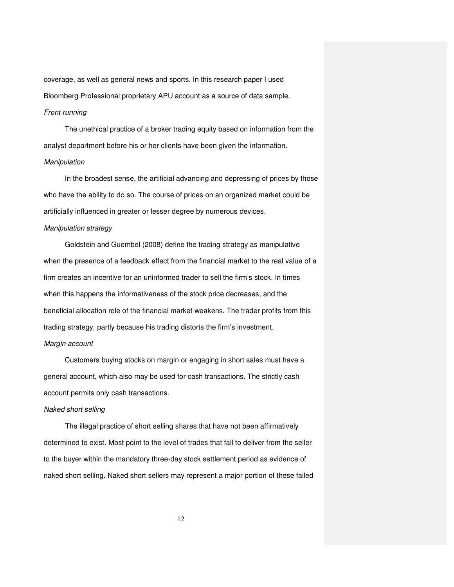coverage, as well as general news and sports. In this research paper I used Bloomberg Professional proprietary APU account as a source of data sample.

# Front running

 The unethical practice of a broker trading equity based on information from the analyst department before his or her clients have been given the information. Manipulation

 In the broadest sense, the artificial advancing and depressing of prices by those who have the ability to do so. The course of prices on an organized market could be artificially influenced in greater or lesser degree by numerous devices.

### Manipulation strategy

 Goldstein and Guembel (2008) define the trading strategy as manipulative when the presence of a feedback effect from the financial market to the real value of a firm creates an incentive for an uninformed trader to sell the firm's stock. In times when this happens the informativeness of the stock price decreases, and the beneficial allocation role of the financial market weakens. The trader profits from this trading strategy, partly because his trading distorts the firm's investment.

# Margin account

 Customers buying stocks on margin or engaging in short sales must have a general account, which also may be used for cash transactions. The strictly cash account permits only cash transactions.

#### Naked short selling

The illegal practice of short selling shares that have not been affirmatively determined to exist. Most point to the level of trades that fail to deliver from the seller to the buyer within the mandatory three-day stock settlement period as evidence of naked short selling. Naked short sellers may represent a major portion of these failed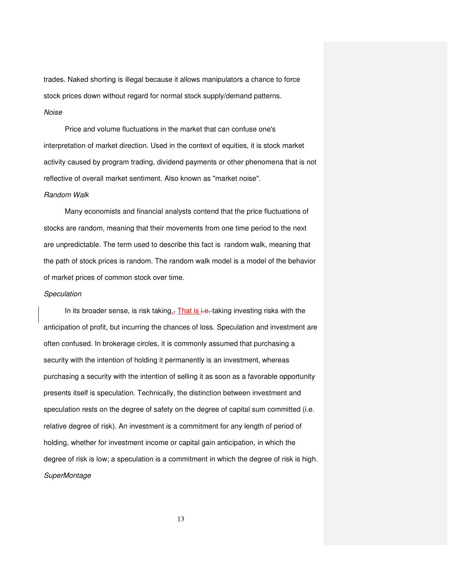trades. Naked shorting is illegal because it allows manipulators a chance to force stock prices down without regard for normal stock supply/demand patterns.

# Noise

 Price and volume fluctuations in the market that can confuse one's interpretation of market direction. Used in the context of equities, it is stock market activity caused by program trading, dividend payments or other phenomena that is not reflective of overall market sentiment. Also known as "market noise".

## Random Walk

 Many economists and financial analysts contend that the price fluctuations of stocks are random, meaning that their movements from one time period to the next are unpredictable. The term used to describe this fact is random walk, meaning that the path of stock prices is random. The random walk model is a model of the behavior of market prices of common stock over time.

### **Speculation**

In its broader sense, is risk taking<sub> $\overline{a}$ </sub> That is i.e. taking investing risks with the anticipation of profit, but incurring the chances of loss. Speculation and investment are often confused. In brokerage circles, it is commonly assumed that purchasing a security with the intention of holding it permanently is an investment, whereas purchasing a security with the intention of selling it as soon as a favorable opportunity presents itself is speculation. Technically, the distinction between investment and speculation rests on the degree of safety on the degree of capital sum committed (i.e. relative degree of risk). An investment is a commitment for any length of period of holding, whether for investment income or capital gain anticipation, in which the degree of risk is low; a speculation is a commitment in which the degree of risk is high. **SuperMontage**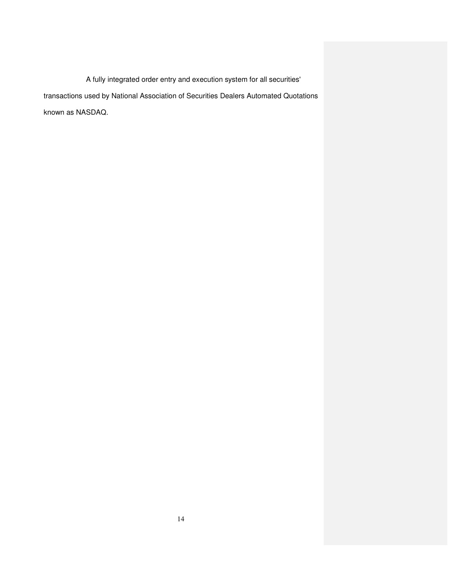A fully integrated order entry and execution system for all securities' transactions used by National Association of Securities Dealers Automated Quotations known as NASDAQ.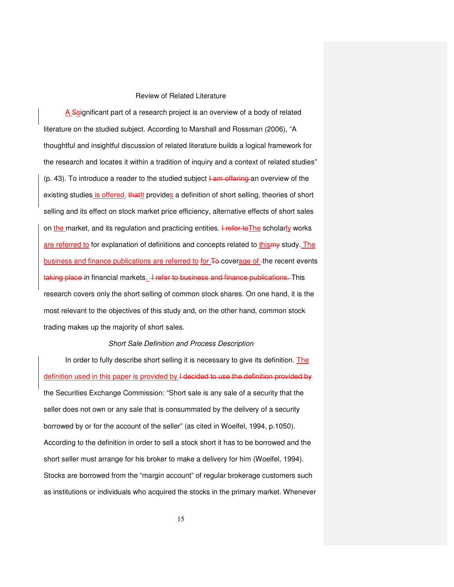### Review of Related Literature

A Ssignificant part of a research project is an overview of a body of related literature on the studied subject. According to Marshall and Rossman (2006), "A thoughtful and insightful discussion of related literature builds a logical framework for the research and locates it within a tradition of inquiry and a context of related studies" (p. 43). To introduce a reader to the studied subject  $\frac{1}{2}$  and overview of the existing studies is offered. that It provides a definition of short selling, theories of short selling and its effect on stock market price efficiency, alternative effects of short sales on the market, and its regulation and practicing entities. I refer to The scholarly works are referred to for explanation of definitions and concepts related to thismy study. The business and finance publications are referred to for To-coverage of -the recent events taking place in financial markets. *I refer to business and finance publications*. This research covers only the short selling of common stock shares. On one hand, it is the most relevant to the objectives of this study and, on the other hand, common stock trading makes up the majority of short sales.

### Short Sale Definition and Process Description

In order to fully describe short selling it is necessary to give its definition. The definition used in this paper is provided by I decided to use the definition provided by the Securities Exchange Commission: "Short sale is any sale of a security that the seller does not own or any sale that is consummated by the delivery of a security borrowed by or for the account of the seller" (as cited in Woelfel, 1994, p.1050). According to the definition in order to sell a stock short it has to be borrowed and the short seller must arrange for his broker to make a delivery for him (Woelfel, 1994). Stocks are borrowed from the "margin account" of regular brokerage customers such as institutions or individuals who acquired the stocks in the primary market. Whenever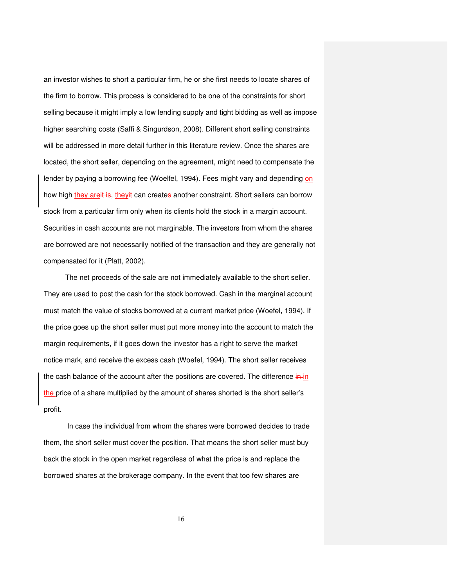an investor wishes to short a particular firm, he or she first needs to locate shares of the firm to borrow. This process is considered to be one of the constraints for short selling because it might imply a low lending supply and tight bidding as well as impose higher searching costs (Saffi & Singurdson, 2008). Different short selling constraints will be addressed in more detail further in this literature review. Once the shares are located, the short seller, depending on the agreement, might need to compensate the lender by paying a borrowing fee (Woelfel, 1994). Fees might vary and depending on how high they areit is, theyit can creates another constraint. Short sellers can borrow stock from a particular firm only when its clients hold the stock in a margin account. Securities in cash accounts are not marginable. The investors from whom the shares are borrowed are not necessarily notified of the transaction and they are generally not compensated for it (Platt, 2002).

The net proceeds of the sale are not immediately available to the short seller. They are used to post the cash for the stock borrowed. Cash in the marginal account must match the value of stocks borrowed at a current market price (Woefel, 1994). If the price goes up the short seller must put more money into the account to match the margin requirements, if it goes down the investor has a right to serve the market notice mark, and receive the excess cash (Woefel, 1994). The short seller receives the cash balance of the account after the positions are covered. The difference in in the price of a share multiplied by the amount of shares shorted is the short seller's profit.

 In case the individual from whom the shares were borrowed decides to trade them, the short seller must cover the position. That means the short seller must buy back the stock in the open market regardless of what the price is and replace the borrowed shares at the brokerage company. In the event that too few shares are

16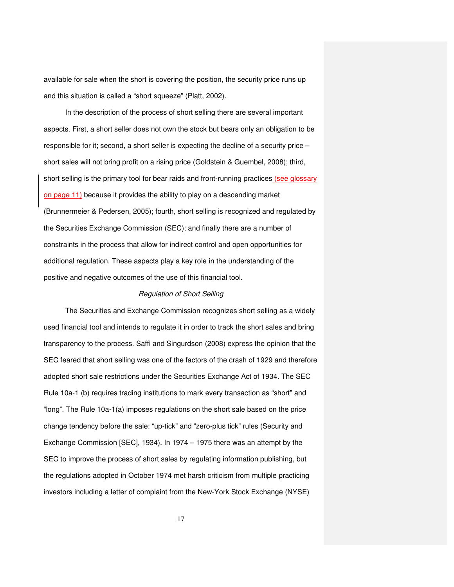available for sale when the short is covering the position, the security price runs up and this situation is called a "short squeeze" (Platt, 2002).

In the description of the process of short selling there are several important aspects. First, a short seller does not own the stock but bears only an obligation to be responsible for it; second, a short seller is expecting the decline of a security price – short sales will not bring profit on a rising price (Goldstein & Guembel, 2008); third, short selling is the primary tool for bear raids and front-running practices (see glossary on page 11) because it provides the ability to play on a descending market (Brunnermeier & Pedersen, 2005); fourth, short selling is recognized and regulated by the Securities Exchange Commission (SEC); and finally there are a number of constraints in the process that allow for indirect control and open opportunities for additional regulation. These aspects play a key role in the understanding of the positive and negative outcomes of the use of this financial tool.

# Regulation of Short Selling

The Securities and Exchange Commission recognizes short selling as a widely used financial tool and intends to regulate it in order to track the short sales and bring transparency to the process. Saffi and Singurdson (2008) express the opinion that the SEC feared that short selling was one of the factors of the crash of 1929 and therefore adopted short sale restrictions under the Securities Exchange Act of 1934. The SEC Rule 10a-1 (b) requires trading institutions to mark every transaction as "short" and "long". The Rule 10a-1(a) imposes regulations on the short sale based on the price change tendency before the sale: "up-tick" and "zero-plus tick" rules (Security and Exchange Commission [SEC], 1934). In 1974 – 1975 there was an attempt by the SEC to improve the process of short sales by regulating information publishing, but the regulations adopted in October 1974 met harsh criticism from multiple practicing investors including a letter of complaint from the New-York Stock Exchange (NYSE)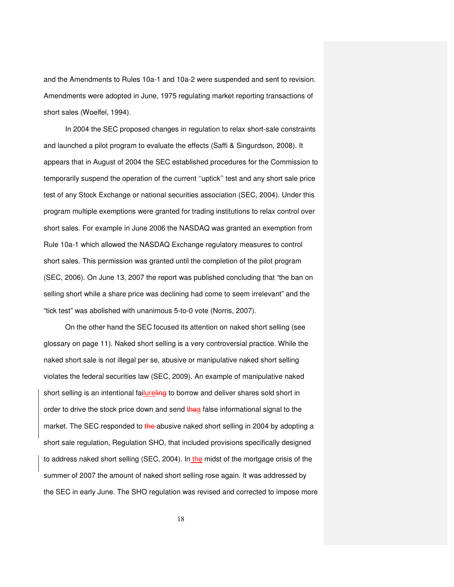and the Amendments to Rules 10a-1 and 10a-2 were suspended and sent to revision. Amendments were adopted in June, 1975 regulating market reporting transactions of short sales (Woelfel, 1994).

In 2004 the SEC proposed changes in regulation to relax short-sale constraints and launched a pilot program to evaluate the effects (Saffi & Singurdson, 2008). It appears that in August of 2004 the SEC established procedures for the Commission to temporarily suspend the operation of the current ''uptick'' test and any short sale price test of any Stock Exchange or national securities association (SEC, 2004). Under this program multiple exemptions were granted for trading institutions to relax control over short sales. For example in June 2006 the NASDAQ was granted an exemption from Rule 10a-1 which allowed the NASDAQ Exchange regulatory measures to control short sales. This permission was granted until the completion of the pilot program (SEC, 2006). On June 13, 2007 the report was published concluding that "the ban on selling short while a share price was declining had come to seem irrelevant" and the "tick test" was abolished with unanimous 5-to-0 vote (Norris, 2007).

On the other hand the SEC focused its attention on naked short selling (see glossary on page 11). Naked short selling is a very controversial practice. While the naked short sale is not illegal per se, abusive or manipulative naked short selling violates the federal securities law (SEC, 2009). An example of manipulative naked short selling is an intentional failureling to borrow and deliver shares sold short in order to drive the stock price down and send thea false informational signal to the market. The SEC responded to the abusive naked short selling in 2004 by adopting a short sale regulation, Regulation SHO, that included provisions specifically designed to address naked short selling (SEC, 2004). In the midst of the mortgage crisis of the summer of 2007 the amount of naked short selling rose again. It was addressed by the SEC in early June. The SHO regulation was revised and corrected to impose more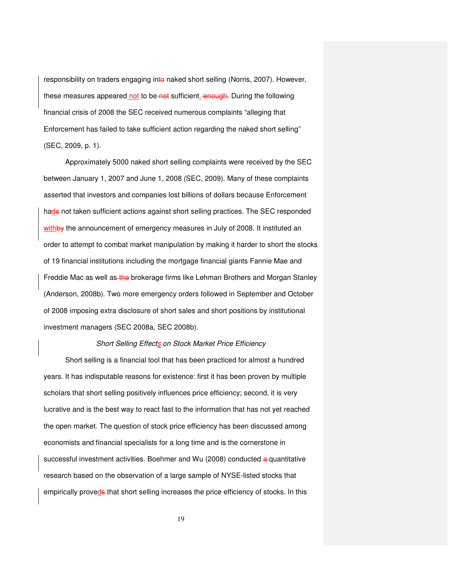responsibility on traders engaging into naked short selling (Norris, 2007). However, these measures appeared not to be not sufficient. enough. During the following financial crisis of 2008 the SEC received numerous complaints "alleging that Enforcement has failed to take sufficient action regarding the naked short selling" (SEC, 2009, p. 1).

Approximately 5000 naked short selling complaints were received by the SEC between January 1, 2007 and June 1, 2008 (SEC, 2009). Many of these complaints asserted that investors and companies lost billions of dollars because Enforcement hads not taken sufficient actions against short selling practices. The SEC responded withby the announcement of emergency measures in July of 2008. It instituted an order to attempt to combat market manipulation by making it harder to short the stocks of 19 financial institutions including the mortgage financial giants Fannie Mae and Freddie Mac as well as the brokerage firms like Lehman Brothers and Morgan Stanley (Anderson, 2008b). Two more emergency orders followed in September and October of 2008 imposing extra disclosure of short sales and short positions by institutional investment managers (SEC 2008a, SEC 2008b).

### Short Selling Effects on Stock Market Price Efficiency

Short selling is a financial tool that has been practiced for almost a hundred years. It has indisputable reasons for existence: first it has been proven by multiple scholars that short selling positively influences price efficiency; second, it is very lucrative and is the best way to react fast to the information that has not yet reached the open market. The question of stock price efficiency has been discussed among economists and financial specialists for a long time and is the cornerstone in successful investment activities. Boehmer and Wu (2008) conducted a quantitative research based on the observation of a large sample of NYSE-listed stocks that empirically proveds that short selling increases the price efficiency of stocks. In this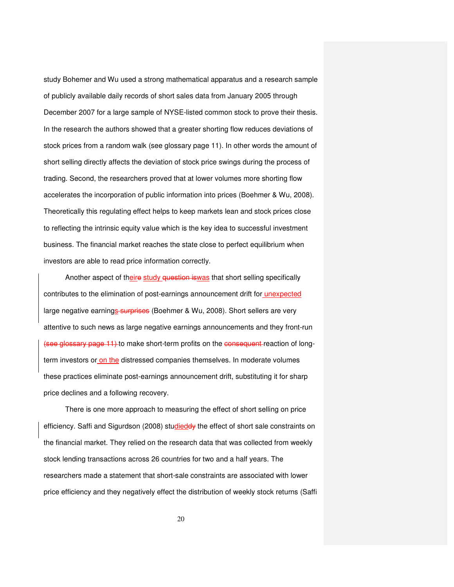study Bohemer and Wu used a strong mathematical apparatus and a research sample of publicly available daily records of short sales data from January 2005 through December 2007 for a large sample of NYSE-listed common stock to prove their thesis. In the research the authors showed that a greater shorting flow reduces deviations of stock prices from a random walk (see glossary page 11). In other words the amount of short selling directly affects the deviation of stock price swings during the process of trading. Second, the researchers proved that at lower volumes more shorting flow accelerates the incorporation of public information into prices (Boehmer & Wu, 2008). Theoretically this regulating effect helps to keep markets lean and stock prices close to reflecting the intrinsic equity value which is the key idea to successful investment business. The financial market reaches the state close to perfect equilibrium when investors are able to read price information correctly.

Another aspect of theire study question is was that short selling specifically contributes to the elimination of post-earnings announcement drift for unexpected large negative earnings-surprises (Boehmer & Wu, 2008). Short sellers are very attentive to such news as large negative earnings announcements and they front-run (see glossary page 11) to make short-term profits on the consequent reaction of longterm investors or on the distressed companies themselves. In moderate volumes these practices eliminate post-earnings announcement drift, substituting it for sharp price declines and a following recovery.

There is one more approach to measuring the effect of short selling on price efficiency. Saffi and Sigurdson (2008) studieddy the effect of short sale constraints on the financial market. They relied on the research data that was collected from weekly stock lending transactions across 26 countries for two and a half years. The researchers made a statement that short-sale constraints are associated with lower price efficiency and they negatively effect the distribution of weekly stock returns (Saffi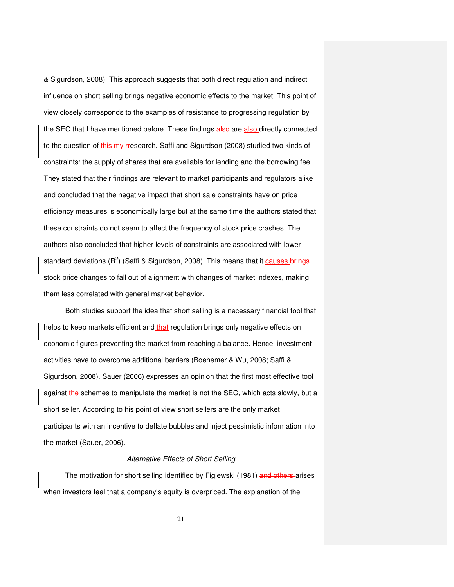& Sigurdson, 2008). This approach suggests that both direct regulation and indirect influence on short selling brings negative economic effects to the market. This point of view closely corresponds to the examples of resistance to progressing regulation by the SEC that I have mentioned before. These findings also are also directly connected to the question of this my rresearch. Saffi and Sigurdson (2008) studied two kinds of constraints: the supply of shares that are available for lending and the borrowing fee. They stated that their findings are relevant to market participants and regulators alike and concluded that the negative impact that short sale constraints have on price efficiency measures is economically large but at the same time the authors stated that these constraints do not seem to affect the frequency of stock price crashes. The authors also concluded that higher levels of constraints are associated with lower standard deviations (R<sup>2</sup>) (Saffi & Sigurdson, 2008). This means that it causes brings stock price changes to fall out of alignment with changes of market indexes, making them less correlated with general market behavior.

Both studies support the idea that short selling is a necessary financial tool that helps to keep markets efficient and that regulation brings only negative effects on economic figures preventing the market from reaching a balance. Hence, investment activities have to overcome additional barriers (Boehemer & Wu, 2008; Saffi & Sigurdson, 2008). Sauer (2006) expresses an opinion that the first most effective tool against the schemes to manipulate the market is not the SEC, which acts slowly, but a short seller. According to his point of view short sellers are the only market participants with an incentive to deflate bubbles and inject pessimistic information into the market (Sauer, 2006).

#### Alternative Effects of Short Selling

The motivation for short selling identified by Figlewski (1981) and others arises when investors feel that a company's equity is overpriced. The explanation of the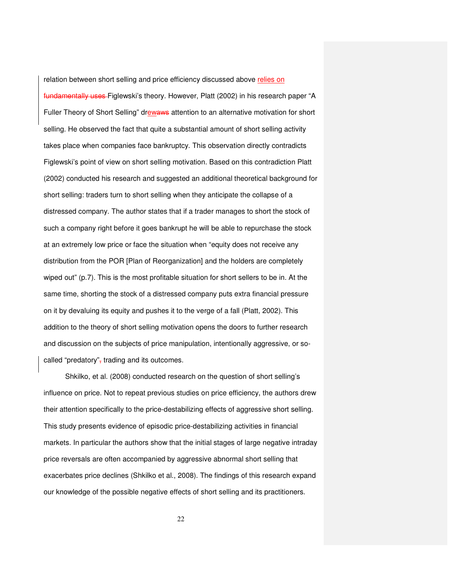relation between short selling and price efficiency discussed above relies on fundamentally uses Figlewski's theory. However, Platt (2002) in his research paper "A Fuller Theory of Short Selling" drewaws attention to an alternative motivation for short selling. He observed the fact that quite a substantial amount of short selling activity takes place when companies face bankruptcy. This observation directly contradicts Figlewski's point of view on short selling motivation. Based on this contradiction Platt (2002) conducted his research and suggested an additional theoretical background for short selling: traders turn to short selling when they anticipate the collapse of a distressed company. The author states that if a trader manages to short the stock of such a company right before it goes bankrupt he will be able to repurchase the stock at an extremely low price or face the situation when "equity does not receive any distribution from the POR [Plan of Reorganization] and the holders are completely wiped out" (p.7). This is the most profitable situation for short sellers to be in. At the same time, shorting the stock of a distressed company puts extra financial pressure on it by devaluing its equity and pushes it to the verge of a fall (Platt, 2002). This addition to the theory of short selling motivation opens the doors to further research and discussion on the subjects of price manipulation, intentionally aggressive, or socalled "predatory", trading and its outcomes.

Shkilko, et al. (2008) conducted research on the question of short selling's influence on price. Not to repeat previous studies on price efficiency, the authors drew their attention specifically to the price-destabilizing effects of aggressive short selling. This study presents evidence of episodic price-destabilizing activities in financial markets. In particular the authors show that the initial stages of large negative intraday price reversals are often accompanied by aggressive abnormal short selling that exacerbates price declines (Shkilko et al., 2008). The findings of this research expand our knowledge of the possible negative effects of short selling and its practitioners.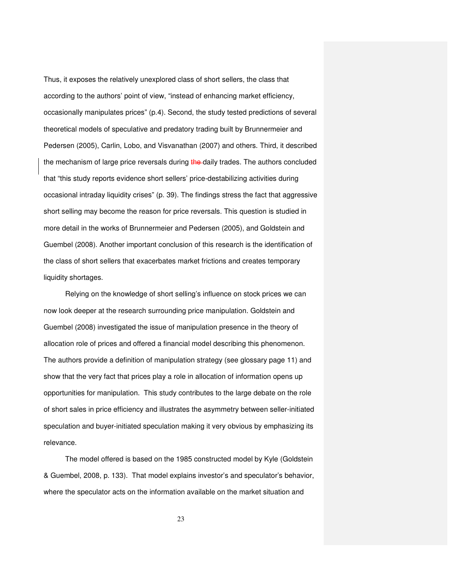Thus, it exposes the relatively unexplored class of short sellers, the class that according to the authors' point of view, "instead of enhancing market efficiency, occasionally manipulates prices" (p.4). Second, the study tested predictions of several theoretical models of speculative and predatory trading built by Brunnermeier and Pedersen (2005), Carlin, Lobo, and Visvanathan (2007) and others. Third, it described the mechanism of large price reversals during the daily trades. The authors concluded that "this study reports evidence short sellers' price-destabilizing activities during occasional intraday liquidity crises" (p. 39). The findings stress the fact that aggressive short selling may become the reason for price reversals. This question is studied in more detail in the works of Brunnermeier and Pedersen (2005), and Goldstein and Guembel (2008). Another important conclusion of this research is the identification of the class of short sellers that exacerbates market frictions and creates temporary liquidity shortages.

Relying on the knowledge of short selling's influence on stock prices we can now look deeper at the research surrounding price manipulation. Goldstein and Guembel (2008) investigated the issue of manipulation presence in the theory of allocation role of prices and offered a financial model describing this phenomenon. The authors provide a definition of manipulation strategy (see glossary page 11) and show that the very fact that prices play a role in allocation of information opens up opportunities for manipulation. This study contributes to the large debate on the role of short sales in price efficiency and illustrates the asymmetry between seller-initiated speculation and buyer-initiated speculation making it very obvious by emphasizing its relevance.

The model offered is based on the 1985 constructed model by Kyle (Goldstein & Guembel, 2008, p. 133). That model explains investor's and speculator's behavior, where the speculator acts on the information available on the market situation and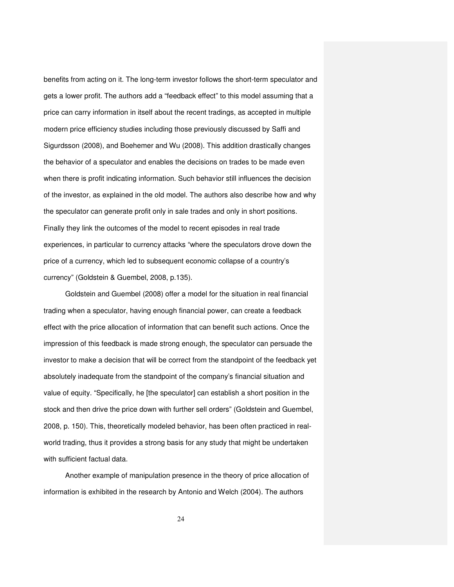benefits from acting on it. The long-term investor follows the short-term speculator and gets a lower profit. The authors add a "feedback effect" to this model assuming that a price can carry information in itself about the recent tradings, as accepted in multiple modern price efficiency studies including those previously discussed by Saffi and Sigurdsson (2008), and Boehemer and Wu (2008). This addition drastically changes the behavior of a speculator and enables the decisions on trades to be made even when there is profit indicating information. Such behavior still influences the decision of the investor, as explained in the old model. The authors also describe how and why the speculator can generate profit only in sale trades and only in short positions. Finally they link the outcomes of the model to recent episodes in real trade experiences, in particular to currency attacks "where the speculators drove down the price of a currency, which led to subsequent economic collapse of a country's currency" (Goldstein & Guembel, 2008, p.135).

Goldstein and Guembel (2008) offer a model for the situation in real financial trading when a speculator, having enough financial power, can create a feedback effect with the price allocation of information that can benefit such actions. Once the impression of this feedback is made strong enough, the speculator can persuade the investor to make a decision that will be correct from the standpoint of the feedback yet absolutely inadequate from the standpoint of the company's financial situation and value of equity. "Specifically, he [the speculator] can establish a short position in the stock and then drive the price down with further sell orders" (Goldstein and Guembel, 2008, p. 150). This, theoretically modeled behavior, has been often practiced in realworld trading, thus it provides a strong basis for any study that might be undertaken with sufficient factual data.

Another example of manipulation presence in the theory of price allocation of information is exhibited in the research by Antonio and Welch (2004). The authors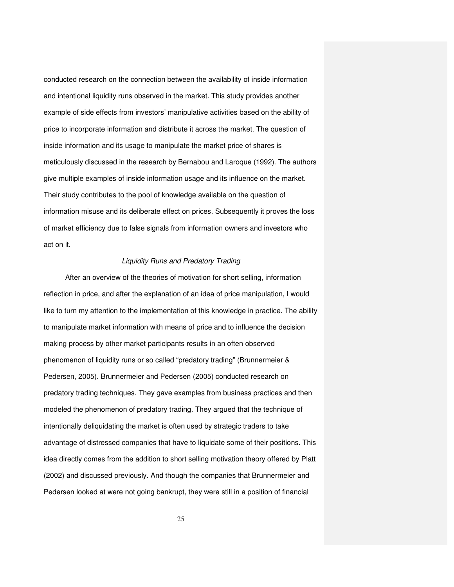conducted research on the connection between the availability of inside information and intentional liquidity runs observed in the market. This study provides another example of side effects from investors' manipulative activities based on the ability of price to incorporate information and distribute it across the market. The question of inside information and its usage to manipulate the market price of shares is meticulously discussed in the research by Bernabou and Laroque (1992). The authors give multiple examples of inside information usage and its influence on the market. Their study contributes to the pool of knowledge available on the question of information misuse and its deliberate effect on prices. Subsequently it proves the loss of market efficiency due to false signals from information owners and investors who act on it.

# Liquidity Runs and Predatory Trading

After an overview of the theories of motivation for short selling, information reflection in price, and after the explanation of an idea of price manipulation, I would like to turn my attention to the implementation of this knowledge in practice. The ability to manipulate market information with means of price and to influence the decision making process by other market participants results in an often observed phenomenon of liquidity runs or so called "predatory trading" (Brunnermeier & Pedersen, 2005). Brunnermeier and Pedersen (2005) conducted research on predatory trading techniques. They gave examples from business practices and then modeled the phenomenon of predatory trading. They argued that the technique of intentionally deliquidating the market is often used by strategic traders to take advantage of distressed companies that have to liquidate some of their positions. This idea directly comes from the addition to short selling motivation theory offered by Platt (2002) and discussed previously. And though the companies that Brunnermeier and Pedersen looked at were not going bankrupt, they were still in a position of financial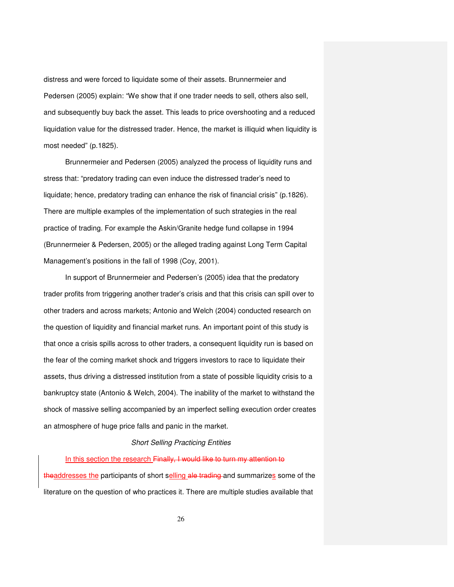distress and were forced to liquidate some of their assets. Brunnermeier and Pedersen (2005) explain: "We show that if one trader needs to sell, others also sell, and subsequently buy back the asset. This leads to price overshooting and a reduced liquidation value for the distressed trader. Hence, the market is illiquid when liquidity is most needed" (p.1825).

Brunnermeier and Pedersen (2005) analyzed the process of liquidity runs and stress that: "predatory trading can even induce the distressed trader's need to liquidate; hence, predatory trading can enhance the risk of financial crisis" (p.1826). There are multiple examples of the implementation of such strategies in the real practice of trading. For example the Askin/Granite hedge fund collapse in 1994 (Brunnermeier & Pedersen, 2005) or the alleged trading against Long Term Capital Management's positions in the fall of 1998 (Coy, 2001).

In support of Brunnermeier and Pedersen's (2005) idea that the predatory trader profits from triggering another trader's crisis and that this crisis can spill over to other traders and across markets; Antonio and Welch (2004) conducted research on the question of liquidity and financial market runs. An important point of this study is that once a crisis spills across to other traders, a consequent liquidity run is based on the fear of the coming market shock and triggers investors to race to liquidate their assets, thus driving a distressed institution from a state of possible liquidity crisis to a bankruptcy state (Antonio & Welch, 2004). The inability of the market to withstand the shock of massive selling accompanied by an imperfect selling execution order creates an atmosphere of huge price falls and panic in the market.

### Short Selling Practicing Entities

### In this section the research Finally, I would like to turn my attention to

theaddresses the participants of short selling ale trading and summarizes some of the literature on the question of who practices it. There are multiple studies available that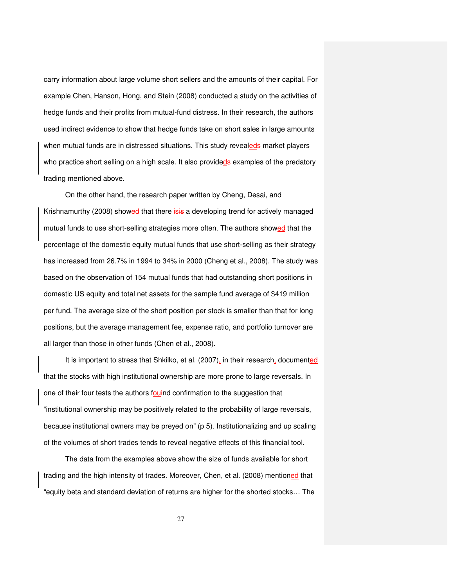carry information about large volume short sellers and the amounts of their capital. For example Chen, Hanson, Hong, and Stein (2008) conducted a study on the activities of hedge funds and their profits from mutual-fund distress. In their research, the authors used indirect evidence to show that hedge funds take on short sales in large amounts when mutual funds are in distressed situations. This study revealeds market players who practice short selling on a high scale. It also provideds examples of the predatory trading mentioned above.

On the other hand, the research paper written by Cheng, Desai, and Krishnamurthy (2008) showed that there isis a developing trend for actively managed mutual funds to use short-selling strategies more often. The authors showed that the percentage of the domestic equity mutual funds that use short-selling as their strategy has increased from 26.7% in 1994 to 34% in 2000 (Cheng et al., 2008). The study was based on the observation of 154 mutual funds that had outstanding short positions in domestic US equity and total net assets for the sample fund average of \$419 million per fund. The average size of the short position per stock is smaller than that for long positions, but the average management fee, expense ratio, and portfolio turnover are all larger than those in other funds (Chen et al., 2008).

It is important to stress that Shkilko, et al. (2007), in their research, documented that the stocks with high institutional ownership are more prone to large reversals. In one of their four tests the authors fouind confirmation to the suggestion that "institutional ownership may be positively related to the probability of large reversals, because institutional owners may be preyed on" (p 5). Institutionalizing and up scaling of the volumes of short trades tends to reveal negative effects of this financial tool.

The data from the examples above show the size of funds available for short trading and the high intensity of trades. Moreover, Chen, et al. (2008) mentioned that "equity beta and standard deviation of returns are higher for the shorted stocks… The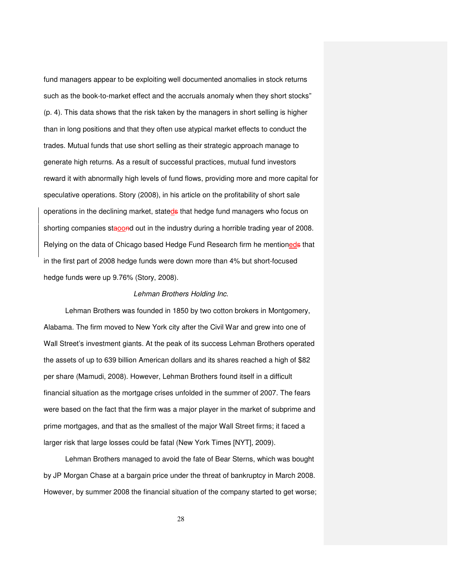fund managers appear to be exploiting well documented anomalies in stock returns such as the book-to-market effect and the accruals anomaly when they short stocks" (p. 4). This data shows that the risk taken by the managers in short selling is higher than in long positions and that they often use atypical market effects to conduct the trades. Mutual funds that use short selling as their strategic approach manage to generate high returns. As a result of successful practices, mutual fund investors reward it with abnormally high levels of fund flows, providing more and more capital for speculative operations. Story (2008), in his article on the profitability of short sale operations in the declining market, stateds that hedge fund managers who focus on shorting companies staoond out in the industry during a horrible trading year of 2008. Relying on the data of Chicago based Hedge Fund Research firm he mentioneds that in the first part of 2008 hedge funds were down more than 4% but short-focused hedge funds were up 9.76% (Story, 2008).

## Lehman Brothers Holding Inc.

Lehman Brothers was founded in 1850 by two cotton brokers in Montgomery, Alabama. The firm moved to New York city after the Civil War and grew into one of Wall Street's investment giants. At the peak of its success Lehman Brothers operated the assets of up to 639 billion American dollars and its shares reached a high of \$82 per share (Mamudi, 2008). However, Lehman Brothers found itself in a difficult financial situation as the mortgage crises unfolded in the summer of 2007. The fears were based on the fact that the firm was a major player in the market of subprime and prime mortgages, and that as the smallest of the major Wall Street firms; it faced a larger risk that large losses could be fatal (New York Times [NYT], 2009).

Lehman Brothers managed to avoid the fate of Bear Sterns, which was bought by JP Morgan Chase at a bargain price under the threat of bankruptcy in March 2008. However, by summer 2008 the financial situation of the company started to get worse;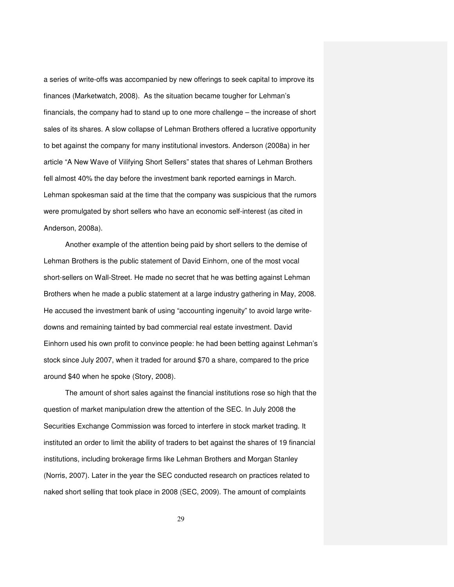a series of write-offs was accompanied by new offerings to seek capital to improve its finances (Marketwatch, 2008). As the situation became tougher for Lehman's financials, the company had to stand up to one more challenge – the increase of short sales of its shares. A slow collapse of Lehman Brothers offered a lucrative opportunity to bet against the company for many institutional investors. Anderson (2008a) in her article "A New Wave of Vilifying Short Sellers" states that shares of Lehman Brothers fell almost 40% the day before the investment bank reported earnings in March. Lehman spokesman said at the time that the company was suspicious that the rumors were promulgated by short sellers who have an economic self-interest (as cited in Anderson, 2008a).

Another example of the attention being paid by short sellers to the demise of Lehman Brothers is the public statement of David Einhorn, one of the most vocal short-sellers on Wall-Street. He made no secret that he was betting against Lehman Brothers when he made a public statement at a large industry gathering in May, 2008. He accused the investment bank of using "accounting ingenuity" to avoid large writedowns and remaining tainted by bad commercial real estate investment. David Einhorn used his own profit to convince people: he had been betting against Lehman's stock since July 2007, when it traded for around \$70 a share, compared to the price around \$40 when he spoke (Story, 2008).

The amount of short sales against the financial institutions rose so high that the question of market manipulation drew the attention of the SEC. In July 2008 the Securities Exchange Commission was forced to interfere in stock market trading. It instituted an order to limit the ability of traders to bet against the shares of 19 financial institutions, including brokerage firms like Lehman Brothers and Morgan Stanley (Norris, 2007). Later in the year the SEC conducted research on practices related to naked short selling that took place in 2008 (SEC, 2009). The amount of complaints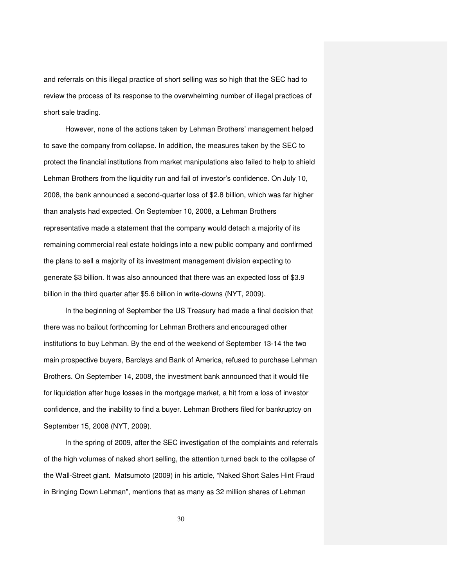and referrals on this illegal practice of short selling was so high that the SEC had to review the process of its response to the overwhelming number of illegal practices of short sale trading.

However, none of the actions taken by Lehman Brothers' management helped to save the company from collapse. In addition, the measures taken by the SEC to protect the financial institutions from market manipulations also failed to help to shield Lehman Brothers from the liquidity run and fail of investor's confidence. On July 10, 2008, the bank announced a second-quarter loss of \$2.8 billion, which was far higher than analysts had expected. On September 10, 2008, a Lehman Brothers representative made a statement that the company would detach a majority of its remaining commercial real estate holdings into a new public company and confirmed the plans to sell a majority of its investment management division expecting to generate \$3 billion. It was also announced that there was an expected loss of \$3.9 billion in the third quarter after \$5.6 billion in write-downs (NYT, 2009).

In the beginning of September the US Treasury had made a final decision that there was no bailout forthcoming for Lehman Brothers and encouraged other institutions to buy Lehman. By the end of the weekend of September 13-14 the two main prospective buyers, Barclays and Bank of America, refused to purchase Lehman Brothers. On September 14, 2008, the investment bank announced that it would file for liquidation after huge losses in the mortgage market, a hit from a loss of investor confidence, and the inability to find a buyer. Lehman Brothers filed for bankruptcy on September 15, 2008 (NYT, 2009).

In the spring of 2009, after the SEC investigation of the complaints and referrals of the high volumes of naked short selling, the attention turned back to the collapse of the Wall-Street giant. Matsumoto (2009) in his article, "Naked Short Sales Hint Fraud in Bringing Down Lehman", mentions that as many as 32 million shares of Lehman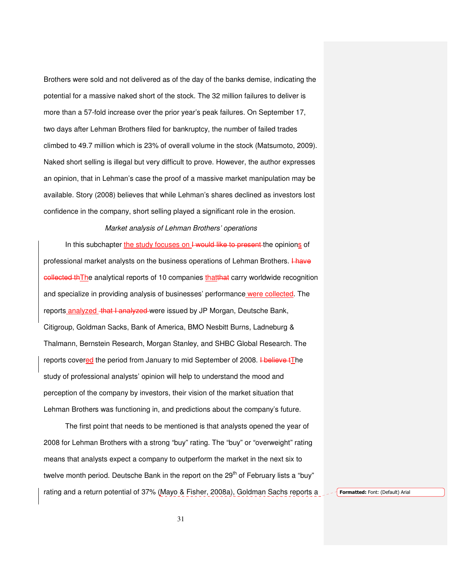Brothers were sold and not delivered as of the day of the banks demise, indicating the potential for a massive naked short of the stock. The 32 million failures to deliver is more than a 57-fold increase over the prior year's peak failures. On September 17, two days after Lehman Brothers filed for bankruptcy, the number of failed trades climbed to 49.7 million which is 23% of overall volume in the stock (Matsumoto, 2009). Naked short selling is illegal but very difficult to prove. However, the author expresses an opinion, that in Lehman's case the proof of a massive market manipulation may be available. Story (2008) believes that while Lehman's shares declined as investors lost confidence in the company, short selling played a significant role in the erosion.

### Market analysis of Lehman Brothers' operations

In this subchapter the study focuses on I would like to present the opinions of professional market analysts on the business operations of Lehman Brothers. I have **collected thThe analytical reports of 10 companies thatthat carry worldwide recognition** and specialize in providing analysis of businesses' performance were collected. The reports analyzed that I analyzed were issued by JP Morgan, Deutsche Bank, Citigroup, Goldman Sacks, Bank of America, BMO Nesbitt Burns, Ladneburg & Thalmann, Bernstein Research, Morgan Stanley, and SHBC Global Research. The reports covered the period from January to mid September of 2008. Hollieve tThe study of professional analysts' opinion will help to understand the mood and perception of the company by investors, their vision of the market situation that Lehman Brothers was functioning in, and predictions about the company's future.

The first point that needs to be mentioned is that analysts opened the year of 2008 for Lehman Brothers with a strong "buy" rating. The "buy" or "overweight" rating means that analysts expect a company to outperform the market in the next six to twelve month period. Deutsche Bank in the report on the  $29<sup>th</sup>$  of February lists a "buy" rating and a return potential of 37% (Mayo & Fisher, 2008a), Goldman Sachs reports a Formatted: Font: (Default) Arial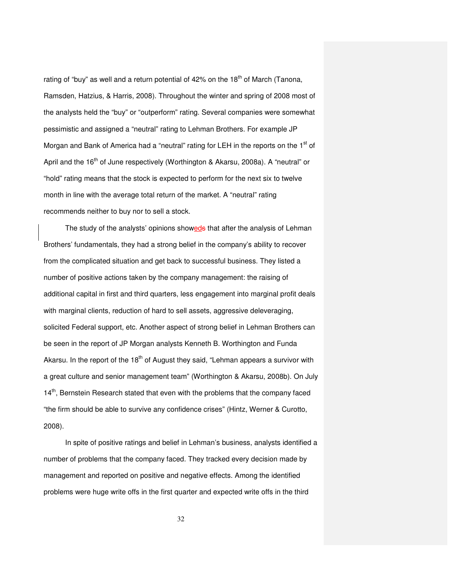rating of "buy" as well and a return potential of  $42\%$  on the 18<sup>th</sup> of March (Tanona, Ramsden, Hatzius, & Harris, 2008). Throughout the winter and spring of 2008 most of the analysts held the "buy" or "outperform" rating. Several companies were somewhat pessimistic and assigned a "neutral" rating to Lehman Brothers. For example JP Morgan and Bank of America had a "neutral" rating for LEH in the reports on the 1<sup>st</sup> of April and the  $16<sup>th</sup>$  of June respectively (Worthington & Akarsu, 2008a). A "neutral" or "hold" rating means that the stock is expected to perform for the next six to twelve month in line with the average total return of the market. A "neutral" rating recommends neither to buy nor to sell a stock.

The study of the analysts' opinions showeds that after the analysis of Lehman Brothers' fundamentals, they had a strong belief in the company's ability to recover from the complicated situation and get back to successful business. They listed a number of positive actions taken by the company management: the raising of additional capital in first and third quarters, less engagement into marginal profit deals with marginal clients, reduction of hard to sell assets, aggressive deleveraging, solicited Federal support, etc. Another aspect of strong belief in Lehman Brothers can be seen in the report of JP Morgan analysts Kenneth B. Worthington and Funda Akarsu. In the report of the  $18<sup>th</sup>$  of August they said, "Lehman appears a survivor with a great culture and senior management team" (Worthington & Akarsu, 2008b). On July  $14<sup>th</sup>$ , Bernstein Research stated that even with the problems that the company faced "the firm should be able to survive any confidence crises" (Hintz, Werner & Curotto, 2008).

In spite of positive ratings and belief in Lehman's business, analysts identified a number of problems that the company faced. They tracked every decision made by management and reported on positive and negative effects. Among the identified problems were huge write offs in the first quarter and expected write offs in the third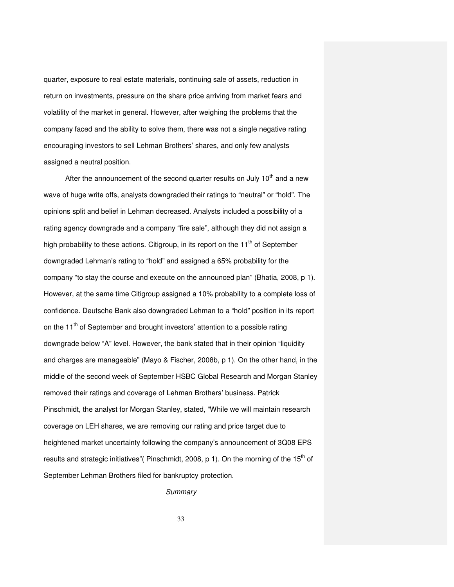quarter, exposure to real estate materials, continuing sale of assets, reduction in return on investments, pressure on the share price arriving from market fears and volatility of the market in general. However, after weighing the problems that the company faced and the ability to solve them, there was not a single negative rating encouraging investors to sell Lehman Brothers' shares, and only few analysts assigned a neutral position.

After the announcement of the second quarter results on July  $10<sup>th</sup>$  and a new wave of huge write offs, analysts downgraded their ratings to "neutral" or "hold". The opinions split and belief in Lehman decreased. Analysts included a possibility of a rating agency downgrade and a company "fire sale", although they did not assign a high probability to these actions. Citigroup, in its report on the  $11<sup>th</sup>$  of September downgraded Lehman's rating to "hold" and assigned a 65% probability for the company "to stay the course and execute on the announced plan" (Bhatia, 2008, p 1). However, at the same time Citigroup assigned a 10% probability to a complete loss of confidence. Deutsche Bank also downgraded Lehman to a "hold" position in its report on the  $11<sup>th</sup>$  of September and brought investors' attention to a possible rating downgrade below "A" level. However, the bank stated that in their opinion "liquidity and charges are manageable" (Mayo & Fischer, 2008b, p 1). On the other hand, in the middle of the second week of September HSBC Global Research and Morgan Stanley removed their ratings and coverage of Lehman Brothers' business. Patrick Pinschmidt, the analyst for Morgan Stanley, stated, "While we will maintain research coverage on LEH shares, we are removing our rating and price target due to heightened market uncertainty following the company's announcement of 3Q08 EPS results and strategic initiatives" (Pinschmidt, 2008, p 1). On the morning of the  $15<sup>th</sup>$  of September Lehman Brothers filed for bankruptcy protection.

**Summary**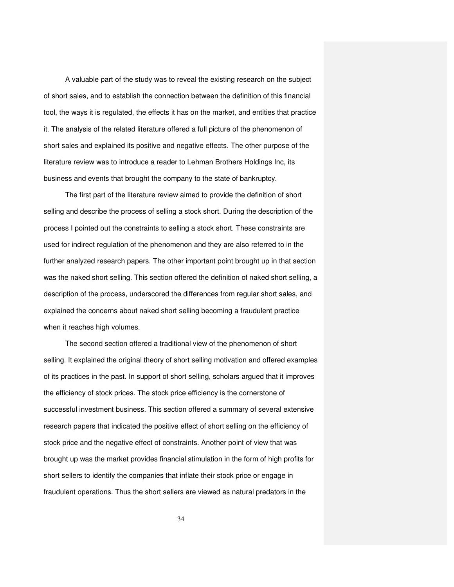A valuable part of the study was to reveal the existing research on the subject of short sales, and to establish the connection between the definition of this financial tool, the ways it is regulated, the effects it has on the market, and entities that practice it. The analysis of the related literature offered a full picture of the phenomenon of short sales and explained its positive and negative effects. The other purpose of the literature review was to introduce a reader to Lehman Brothers Holdings Inc, its business and events that brought the company to the state of bankruptcy.

The first part of the literature review aimed to provide the definition of short selling and describe the process of selling a stock short. During the description of the process I pointed out the constraints to selling a stock short. These constraints are used for indirect regulation of the phenomenon and they are also referred to in the further analyzed research papers. The other important point brought up in that section was the naked short selling. This section offered the definition of naked short selling, a description of the process, underscored the differences from regular short sales, and explained the concerns about naked short selling becoming a fraudulent practice when it reaches high volumes.

The second section offered a traditional view of the phenomenon of short selling. It explained the original theory of short selling motivation and offered examples of its practices in the past. In support of short selling, scholars argued that it improves the efficiency of stock prices. The stock price efficiency is the cornerstone of successful investment business. This section offered a summary of several extensive research papers that indicated the positive effect of short selling on the efficiency of stock price and the negative effect of constraints. Another point of view that was brought up was the market provides financial stimulation in the form of high profits for short sellers to identify the companies that inflate their stock price or engage in fraudulent operations. Thus the short sellers are viewed as natural predators in the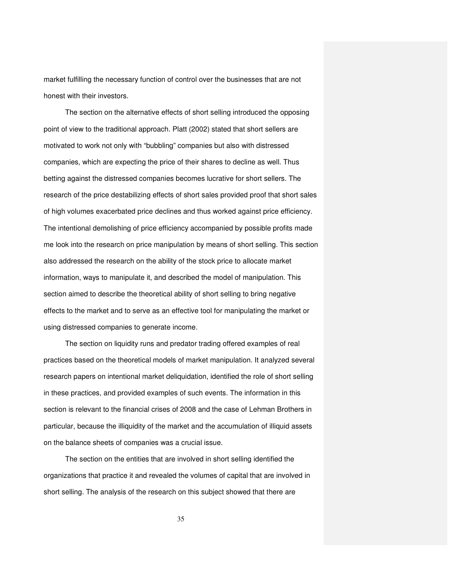market fulfilling the necessary function of control over the businesses that are not honest with their investors.

The section on the alternative effects of short selling introduced the opposing point of view to the traditional approach. Platt (2002) stated that short sellers are motivated to work not only with "bubbling" companies but also with distressed companies, which are expecting the price of their shares to decline as well. Thus betting against the distressed companies becomes lucrative for short sellers. The research of the price destabilizing effects of short sales provided proof that short sales of high volumes exacerbated price declines and thus worked against price efficiency. The intentional demolishing of price efficiency accompanied by possible profits made me look into the research on price manipulation by means of short selling. This section also addressed the research on the ability of the stock price to allocate market information, ways to manipulate it, and described the model of manipulation. This section aimed to describe the theoretical ability of short selling to bring negative effects to the market and to serve as an effective tool for manipulating the market or using distressed companies to generate income.

The section on liquidity runs and predator trading offered examples of real practices based on the theoretical models of market manipulation. It analyzed several research papers on intentional market deliquidation, identified the role of short selling in these practices, and provided examples of such events. The information in this section is relevant to the financial crises of 2008 and the case of Lehman Brothers in particular, because the illiquidity of the market and the accumulation of illiquid assets on the balance sheets of companies was a crucial issue.

The section on the entities that are involved in short selling identified the organizations that practice it and revealed the volumes of capital that are involved in short selling. The analysis of the research on this subject showed that there are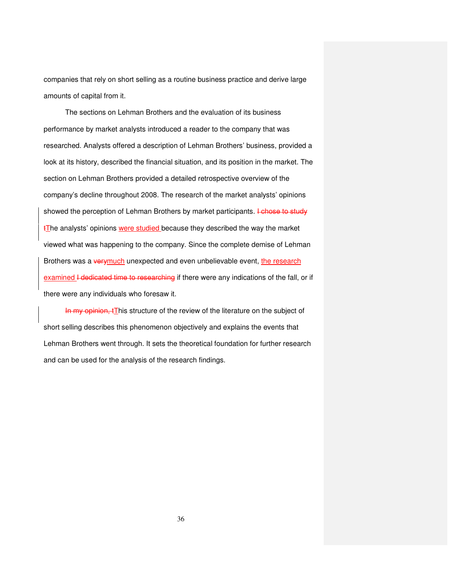companies that rely on short selling as a routine business practice and derive large amounts of capital from it.

The sections on Lehman Brothers and the evaluation of its business performance by market analysts introduced a reader to the company that was researched. Analysts offered a description of Lehman Brothers' business, provided a look at its history, described the financial situation, and its position in the market. The section on Lehman Brothers provided a detailed retrospective overview of the company's decline throughout 2008. The research of the market analysts' opinions showed the perception of Lehman Brothers by market participants. I chose to study  $t$ The analysts' opinions were studied because they described the way the market viewed what was happening to the company. Since the complete demise of Lehman Brothers was a verymuch unexpected and even unbelievable event, the research examined I dedicated time to researching if there were any indications of the fall, or if there were any individuals who foresaw it.

In my opinion, this structure of the review of the literature on the subject of short selling describes this phenomenon objectively and explains the events that Lehman Brothers went through. It sets the theoretical foundation for further research and can be used for the analysis of the research findings.

36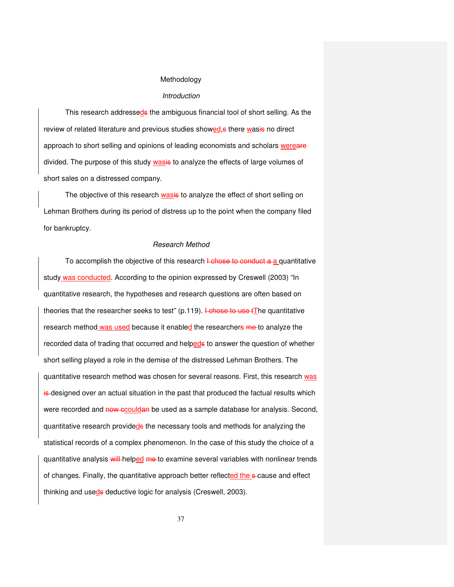## Methodology

#### Introduction

This research addresseds the ambiguous financial tool of short selling. As the review of related literature and previous studies showed, there wasing no direct approach to short selling and opinions of leading economists and scholars wereare divided. The purpose of this study wasis to analyze the effects of large volumes of short sales on a distressed company.

The objective of this research wasis to analyze the effect of short selling on Lehman Brothers during its period of distress up to the point when the company filed for bankruptcy.

#### Research Method

To accomplish the objective of this research  $\frac{1}{2}$  chose to conduct a a quantitative study was conducted. According to the opinion expressed by Creswell (2003) "In quantitative research, the hypotheses and research questions are often based on theories that the researcher seeks to test"  $(p.119)$ . I chose to use tThe quantitative research method was used because it enabled the researchers me to analyze the recorded data of trading that occurred and helpeds to answer the question of whether short selling played a role in the demise of the distressed Lehman Brothers. The quantitative research method was chosen for several reasons. First, this research was is-designed over an actual situation in the past that produced the factual results which were recorded and now ecouldan be used as a sample database for analysis. Second, quantitative research provideds the necessary tools and methods for analyzing the statistical records of a complex phenomenon. In the case of this study the choice of a quantitative analysis will helped me to examine several variables with nonlinear trends of changes. Finally, the quantitative approach better reflected the s-cause and effect thinking and useds deductive logic for analysis (Creswell, 2003).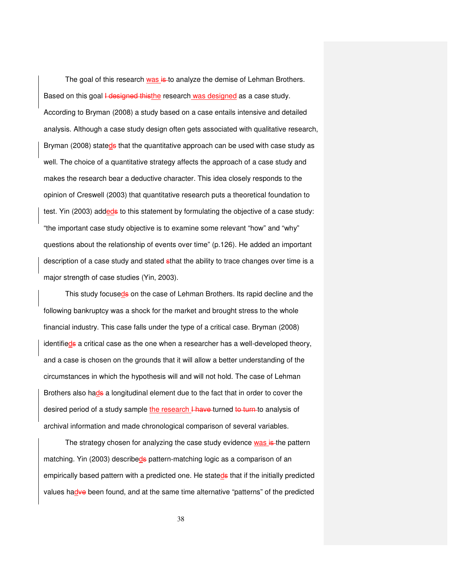The goal of this research was is to analyze the demise of Lehman Brothers. Based on this goal *I* designed thisthe research was designed as a case study. According to Bryman (2008) a study based on a case entails intensive and detailed analysis. Although a case study design often gets associated with qualitative research, Bryman (2008) stateds that the quantitative approach can be used with case study as well. The choice of a quantitative strategy affects the approach of a case study and makes the research bear a deductive character. This idea closely responds to the opinion of Creswell (2003) that quantitative research puts a theoretical foundation to test. Yin (2003) addeds to this statement by formulating the objective of a case study: "the important case study objective is to examine some relevant "how" and "why" questions about the relationship of events over time" (p.126). He added an important description of a case study and stated sthat the ability to trace changes over time is a major strength of case studies (Yin, 2003).

This study focuseds on the case of Lehman Brothers. Its rapid decline and the following bankruptcy was a shock for the market and brought stress to the whole financial industry. This case falls under the type of a critical case. Bryman (2008) identifieds a critical case as the one when a researcher has a well-developed theory, and a case is chosen on the grounds that it will allow a better understanding of the circumstances in which the hypothesis will and will not hold. The case of Lehman Brothers also hade a longitudinal element due to the fact that in order to cover the desired period of a study sample the research I have turned to turn to analysis of archival information and made chronological comparison of several variables.

The strategy chosen for analyzing the case study evidence was is the pattern matching. Yin (2003) describeds pattern-matching logic as a comparison of an empirically based pattern with a predicted one. He stateds that if the initially predicted values hadve been found, and at the same time alternative "patterns" of the predicted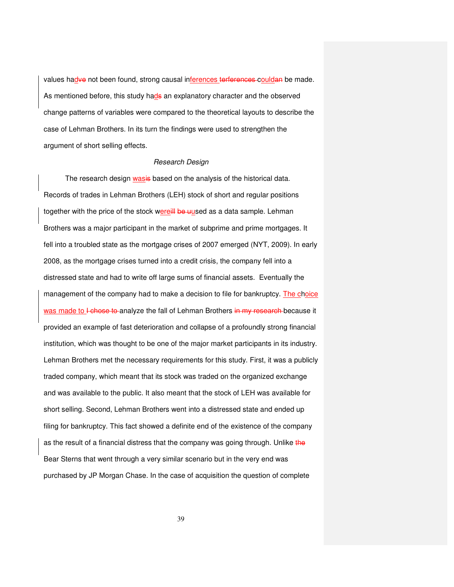values hadve not been found, strong causal inferences terferences couldan be made. As mentioned before, this study hade an explanatory character and the observed change patterns of variables were compared to the theoretical layouts to describe the case of Lehman Brothers. In its turn the findings were used to strengthen the argument of short selling effects.

## Research Design

The research design wasis based on the analysis of the historical data. Records of trades in Lehman Brothers (LEH) stock of short and regular positions together with the price of the stock wereill be uused as a data sample. Lehman Brothers was a major participant in the market of subprime and prime mortgages. It fell into a troubled state as the mortgage crises of 2007 emerged (NYT, 2009). In early 2008, as the mortgage crises turned into a credit crisis, the company fell into a distressed state and had to write off large sums of financial assets. Eventually the management of the company had to make a decision to file for bankruptcy. The choice was made to I-chose to-analyze the fall of Lehman Brothers in my research because it provided an example of fast deterioration and collapse of a profoundly strong financial institution, which was thought to be one of the major market participants in its industry. Lehman Brothers met the necessary requirements for this study. First, it was a publicly traded company, which meant that its stock was traded on the organized exchange and was available to the public. It also meant that the stock of LEH was available for short selling. Second, Lehman Brothers went into a distressed state and ended up filing for bankruptcy. This fact showed a definite end of the existence of the company as the result of a financial distress that the company was going through. Unlike the Bear Sterns that went through a very similar scenario but in the very end was purchased by JP Morgan Chase. In the case of acquisition the question of complete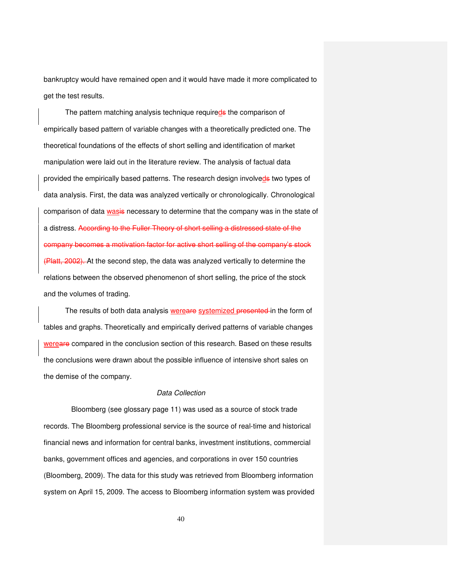bankruptcy would have remained open and it would have made it more complicated to get the test results.

The pattern matching analysis technique requireds the comparison of empirically based pattern of variable changes with a theoretically predicted one. The theoretical foundations of the effects of short selling and identification of market manipulation were laid out in the literature review. The analysis of factual data provided the empirically based patterns. The research design involveds two types of data analysis. First, the data was analyzed vertically or chronologically. Chronological comparison of data wasis necessary to determine that the company was in the state of a distress. According to the Fuller Theory of short selling a distressed state of the company becomes a motivation factor for active short selling of the company's stock (Platt, 2002). At the second step, the data was analyzed vertically to determine the relations between the observed phenomenon of short selling, the price of the stock and the volumes of trading.

The results of both data analysis wereare systemized presented in the form of tables and graphs. Theoretically and empirically derived patterns of variable changes wereare compared in the conclusion section of this research. Based on these results the conclusions were drawn about the possible influence of intensive short sales on the demise of the company.

#### Data Collection

 Bloomberg (see glossary page 11) was used as a source of stock trade records. The Bloomberg professional service is the source of real-time and historical financial news and information for central banks, investment institutions, commercial banks, government offices and agencies, and corporations in over 150 countries (Bloomberg, 2009). The data for this study was retrieved from Bloomberg information system on April 15, 2009. The access to Bloomberg information system was provided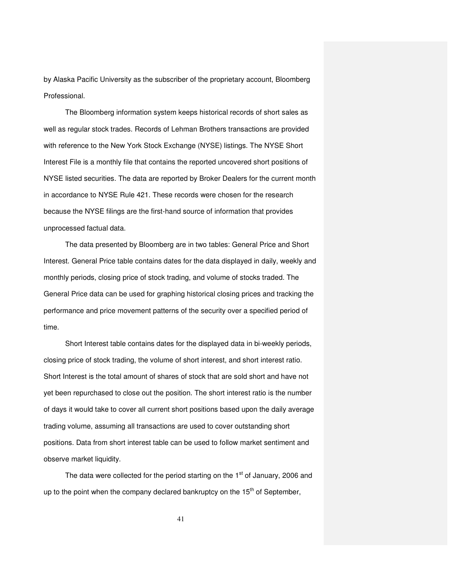by Alaska Pacific University as the subscriber of the proprietary account, Bloomberg Professional.

The Bloomberg information system keeps historical records of short sales as well as regular stock trades. Records of Lehman Brothers transactions are provided with reference to the New York Stock Exchange (NYSE) listings. The NYSE Short Interest File is a monthly file that contains the reported uncovered short positions of NYSE listed securities. The data are reported by Broker Dealers for the current month in accordance to NYSE Rule 421. These records were chosen for the research because the NYSE filings are the first-hand source of information that provides unprocessed factual data.

The data presented by Bloomberg are in two tables: General Price and Short Interest. General Price table contains dates for the data displayed in daily, weekly and monthly periods, closing price of stock trading, and volume of stocks traded. The General Price data can be used for graphing historical closing prices and tracking the performance and price movement patterns of the security over a specified period of time.

Short Interest table contains dates for the displayed data in bi-weekly periods, closing price of stock trading, the volume of short interest, and short interest ratio. Short Interest is the total amount of shares of stock that are sold short and have not yet been repurchased to close out the position. The short interest ratio is the number of days it would take to cover all current short positions based upon the daily average trading volume, assuming all transactions are used to cover outstanding short positions. Data from short interest table can be used to follow market sentiment and observe market liquidity.

The data were collected for the period starting on the  $1<sup>st</sup>$  of January, 2006 and up to the point when the company declared bankruptcy on the  $15<sup>th</sup>$  of September,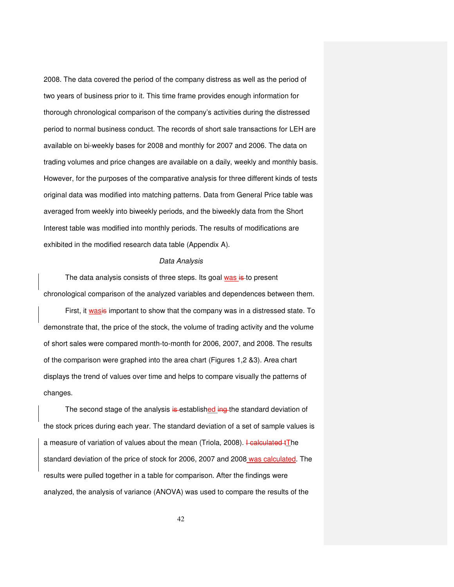2008. The data covered the period of the company distress as well as the period of two years of business prior to it. This time frame provides enough information for thorough chronological comparison of the company's activities during the distressed period to normal business conduct. The records of short sale transactions for LEH are available on bi-weekly bases for 2008 and monthly for 2007 and 2006. The data on trading volumes and price changes are available on a daily, weekly and monthly basis. However, for the purposes of the comparative analysis for three different kinds of tests original data was modified into matching patterns. Data from General Price table was averaged from weekly into biweekly periods, and the biweekly data from the Short Interest table was modified into monthly periods. The results of modifications are exhibited in the modified research data table (Appendix A).

#### Data Analysis

The data analysis consists of three steps. Its goal was is to present chronological comparison of the analyzed variables and dependences between them.

First, it wasis important to show that the company was in a distressed state. To demonstrate that, the price of the stock, the volume of trading activity and the volume of short sales were compared month-to-month for 2006, 2007, and 2008. The results of the comparison were graphed into the area chart (Figures 1,2 &3). Area chart displays the trend of values over time and helps to compare visually the patterns of changes.

The second stage of the analysis is established ing the standard deviation of the stock prices during each year. The standard deviation of a set of sample values is a measure of variation of values about the mean (Triola, 2008). Healculated tThe standard deviation of the price of stock for 2006, 2007 and 2008 was calculated. The results were pulled together in a table for comparison. After the findings were analyzed, the analysis of variance (ANOVA) was used to compare the results of the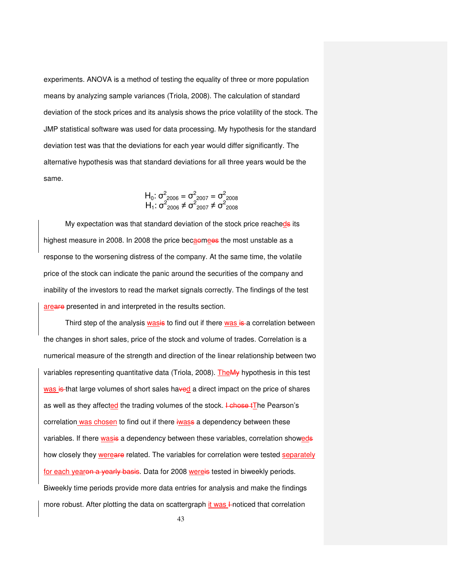experiments. ANOVA is a method of testing the equality of three or more population means by analyzing sample variances (Triola, 2008). The calculation of standard deviation of the stock prices and its analysis shows the price volatility of the stock. The JMP statistical software was used for data processing. My hypothesis for the standard deviation test was that the deviations for each year would differ significantly. The alternative hypothesis was that standard deviations for all three years would be the same.

$$
H_0: \sigma_{2006}^2 = \sigma_{2007}^2 = \sigma_{2008}^2
$$
  

$$
H_1: \sigma_{2006}^2 \neq \sigma_{2007}^2 \neq \sigma_{2008}^2
$$

My expectation was that standard deviation of the stock price reacheds its highest measure in 2008. In 2008 the price becaomees the most unstable as a response to the worsening distress of the company. At the same time, the volatile price of the stock can indicate the panic around the securities of the company and inability of the investors to read the market signals correctly. The findings of the test areare presented in and interpreted in the results section.

Third step of the analysis wasis to find out if there was is a correlation between the changes in short sales, price of the stock and volume of trades. Correlation is a numerical measure of the strength and direction of the linear relationship between two variables representing quantitative data (Triola, 2008). The My hypothesis in this test was is that large volumes of short sales haved a direct impact on the price of shares as well as they affected the trading volumes of the stock. Lehose tThe Pearson's correlation was chosen to find out if there iwass a dependency between these variables. If there wasis a dependency between these variables, correlation showeds how closely they wereare related. The variables for correlation were tested separately for each yearon a yearly basis. Data for 2008 wereis tested in biweekly periods. Biweekly time periods provide more data entries for analysis and make the findings more robust. After plotting the data on scattergraph it was 4-noticed that correlation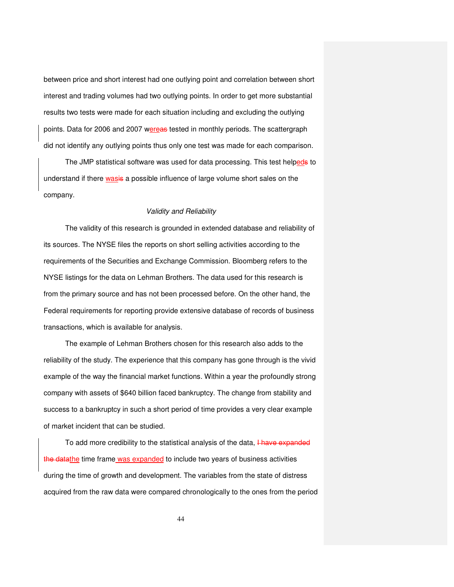between price and short interest had one outlying point and correlation between short interest and trading volumes had two outlying points. In order to get more substantial results two tests were made for each situation including and excluding the outlying points. Data for 2006 and 2007 wereas tested in monthly periods. The scattergraph did not identify any outlying points thus only one test was made for each comparison.

The JMP statistical software was used for data processing. This test helpeds to understand if there wasis a possible influence of large volume short sales on the company.

## Validity and Reliability

The validity of this research is grounded in extended database and reliability of its sources. The NYSE files the reports on short selling activities according to the requirements of the Securities and Exchange Commission. Bloomberg refers to the NYSE listings for the data on Lehman Brothers. The data used for this research is from the primary source and has not been processed before. On the other hand, the Federal requirements for reporting provide extensive database of records of business transactions, which is available for analysis.

The example of Lehman Brothers chosen for this research also adds to the reliability of the study. The experience that this company has gone through is the vivid example of the way the financial market functions. Within a year the profoundly strong company with assets of \$640 billion faced bankruptcy. The change from stability and success to a bankruptcy in such a short period of time provides a very clear example of market incident that can be studied.

To add more credibility to the statistical analysis of the data, **Have expanded** the datathe time frame was expanded to include two years of business activities during the time of growth and development. The variables from the state of distress acquired from the raw data were compared chronologically to the ones from the period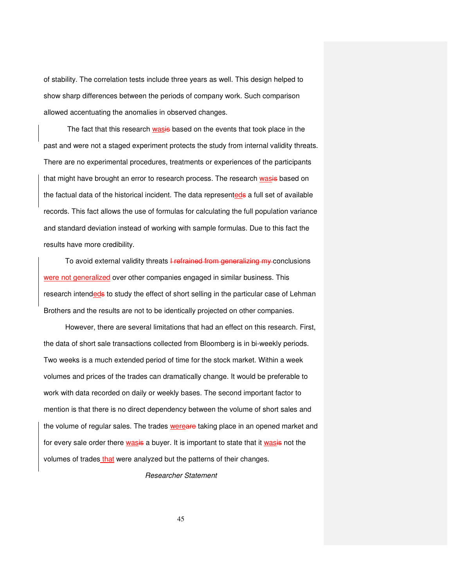of stability. The correlation tests include three years as well. This design helped to show sharp differences between the periods of company work. Such comparison allowed accentuating the anomalies in observed changes.

The fact that this research wasis based on the events that took place in the past and were not a staged experiment protects the study from internal validity threats. There are no experimental procedures, treatments or experiences of the participants that might have brought an error to research process. The research wasis based on the factual data of the historical incident. The data representeds a full set of available records. This fact allows the use of formulas for calculating the full population variance and standard deviation instead of working with sample formulas. Due to this fact the results have more credibility.

To avoid external validity threats I refrained from generalizing my conclusions were not generalized over other companies engaged in similar business. This research intendeds to study the effect of short selling in the particular case of Lehman Brothers and the results are not to be identically projected on other companies.

However, there are several limitations that had an effect on this research. First, the data of short sale transactions collected from Bloomberg is in bi-weekly periods. Two weeks is a much extended period of time for the stock market. Within a week volumes and prices of the trades can dramatically change. It would be preferable to work with data recorded on daily or weekly bases. The second important factor to mention is that there is no direct dependency between the volume of short sales and the volume of regular sales. The trades wereare taking place in an opened market and for every sale order there wasis a buyer. It is important to state that it wasis not the volumes of trades that were analyzed but the patterns of their changes.

Researcher Statement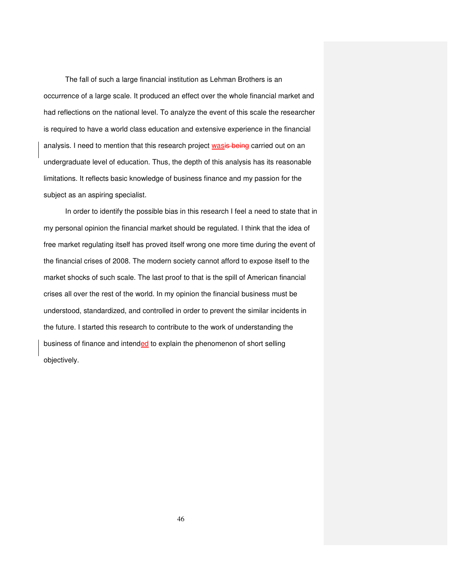The fall of such a large financial institution as Lehman Brothers is an occurrence of a large scale. It produced an effect over the whole financial market and had reflections on the national level. To analyze the event of this scale the researcher is required to have a world class education and extensive experience in the financial analysis. I need to mention that this research project wasis being carried out on an undergraduate level of education. Thus, the depth of this analysis has its reasonable limitations. It reflects basic knowledge of business finance and my passion for the subject as an aspiring specialist.

In order to identify the possible bias in this research I feel a need to state that in my personal opinion the financial market should be regulated. I think that the idea of free market regulating itself has proved itself wrong one more time during the event of the financial crises of 2008. The modern society cannot afford to expose itself to the market shocks of such scale. The last proof to that is the spill of American financial crises all over the rest of the world. In my opinion the financial business must be understood, standardized, and controlled in order to prevent the similar incidents in the future. I started this research to contribute to the work of understanding the business of finance and intended to explain the phenomenon of short selling objectively.

46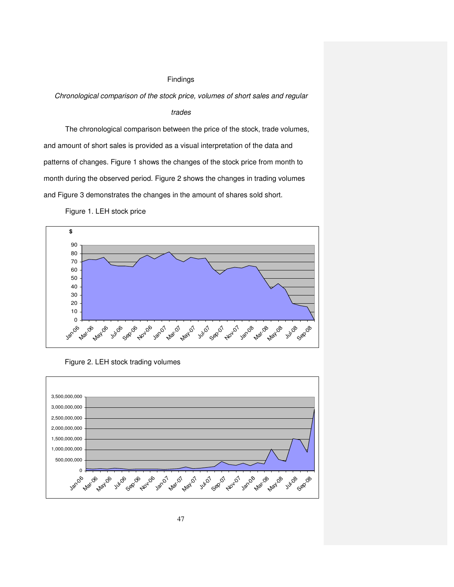#### Findings

Chronological comparison of the stock price, volumes of short sales and regular

#### trades

The chronological comparison between the price of the stock, trade volumes, and amount of short sales is provided as a visual interpretation of the data and patterns of changes. Figure 1 shows the changes of the stock price from month to month during the observed period. Figure 2 shows the changes in trading volumes and Figure 3 demonstrates the changes in the amount of shares sold short.





Figure 2. LEH stock trading volumes

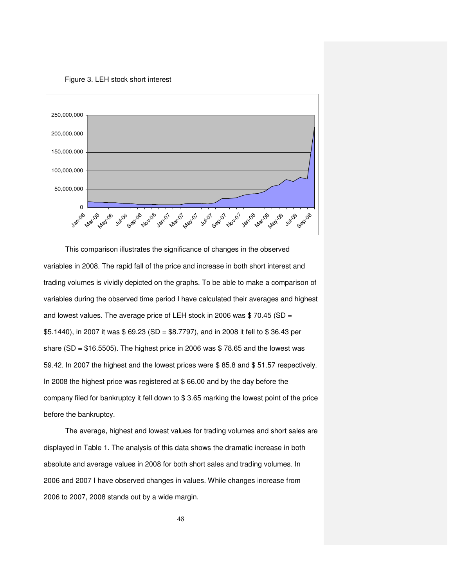Figure 3. LEH stock short interest



This comparison illustrates the significance of changes in the observed variables in 2008. The rapid fall of the price and increase in both short interest and trading volumes is vividly depicted on the graphs. To be able to make a comparison of variables during the observed time period I have calculated their averages and highest and lowest values. The average price of LEH stock in 2006 was \$ 70.45 (SD = \$5.1440), in 2007 it was \$ 69.23 (SD = \$8.7797), and in 2008 it fell to \$ 36.43 per share (SD =  $$16.5505$ ). The highest price in 2006 was  $$78.65$  and the lowest was 59.42. In 2007 the highest and the lowest prices were \$ 85.8 and \$ 51.57 respectively. In 2008 the highest price was registered at \$ 66.00 and by the day before the company filed for bankruptcy it fell down to \$ 3.65 marking the lowest point of the price before the bankruptcy.

The average, highest and lowest values for trading volumes and short sales are displayed in Table 1. The analysis of this data shows the dramatic increase in both absolute and average values in 2008 for both short sales and trading volumes. In 2006 and 2007 I have observed changes in values. While changes increase from 2006 to 2007, 2008 stands out by a wide margin.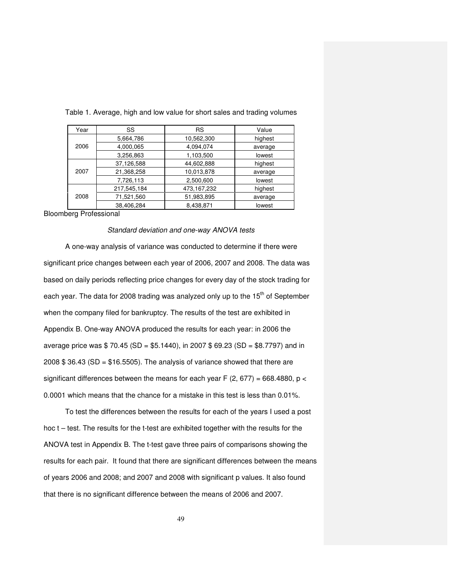| Year | SS          | <b>RS</b>   | Value   |
|------|-------------|-------------|---------|
|      | 5,664,786   | 10,562,300  | highest |
| 2006 | 4,000,065   | 4,094,074   | average |
|      | 3,256,863   | 1,103,500   | lowest  |
|      | 37,126,588  | 44,602,888  | highest |
| 2007 | 21.368.258  | 10,013,878  | average |
|      | 7,726,113   | 2,500,600   | lowest  |
|      | 217,545,184 | 473,167,232 | highest |
| 2008 | 71,521,560  | 51,983,895  | average |
|      | 38,406,284  | 8,438,871   | lowest  |

Table 1. Average, high and low value for short sales and trading volumes

Bloomberg Professional

#### Standard deviation and one-way ANOVA tests

A one-way analysis of variance was conducted to determine if there were significant price changes between each year of 2006, 2007 and 2008. The data was based on daily periods reflecting price changes for every day of the stock trading for each year. The data for 2008 trading was analyzed only up to the 15<sup>th</sup> of September when the company filed for bankruptcy. The results of the test are exhibited in Appendix B. One-way ANOVA produced the results for each year: in 2006 the average price was  $$70.45 (SD = $5.1440)$ , in 2007  $$69.23 (SD = $8.7797)$  and in 2008  $$36.43$  (SD =  $$16.5505$ ). The analysis of variance showed that there are significant differences between the means for each year F (2, 677) = 668.4880,  $p <$ 0.0001 which means that the chance for a mistake in this test is less than 0.01%.

To test the differences between the results for each of the years I used a post hoc t – test. The results for the t-test are exhibited together with the results for the ANOVA test in Appendix B. The t-test gave three pairs of comparisons showing the results for each pair. It found that there are significant differences between the means of years 2006 and 2008; and 2007 and 2008 with significant p values. It also found that there is no significant difference between the means of 2006 and 2007.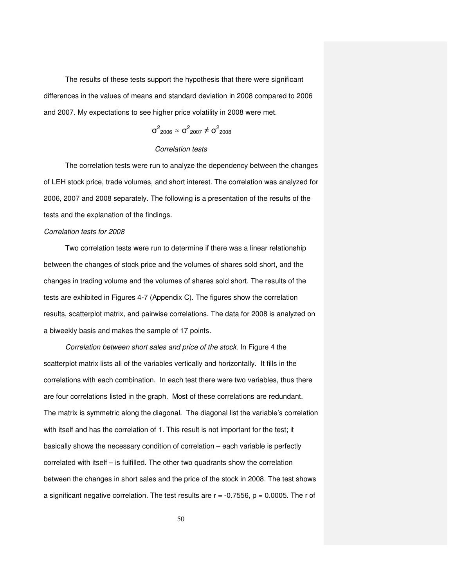The results of these tests support the hypothesis that there were significant differences in the values of means and standard deviation in 2008 compared to 2006 and 2007. My expectations to see higher price volatility in 2008 were met.

$$
\sigma^2_{2006} \approx \sigma^2_{2007} \neq \sigma^2_{2008}
$$

## Correlation tests

The correlation tests were run to analyze the dependency between the changes of LEH stock price, trade volumes, and short interest. The correlation was analyzed for 2006, 2007 and 2008 separately. The following is a presentation of the results of the tests and the explanation of the findings.

## Correlation tests for 2008

Two correlation tests were run to determine if there was a linear relationship between the changes of stock price and the volumes of shares sold short, and the changes in trading volume and the volumes of shares sold short. The results of the tests are exhibited in Figures 4-7 (Appendix C). The figures show the correlation results, scatterplot matrix, and pairwise correlations. The data for 2008 is analyzed on a biweekly basis and makes the sample of 17 points.

Correlation between short sales and price of the stock. In Figure 4 the scatterplot matrix lists all of the variables vertically and horizontally. It fills in the correlations with each combination. In each test there were two variables, thus there are four correlations listed in the graph. Most of these correlations are redundant. The matrix is symmetric along the diagonal. The diagonal list the variable's correlation with itself and has the correlation of 1. This result is not important for the test; it basically shows the necessary condition of correlation – each variable is perfectly correlated with itself – is fulfilled. The other two quadrants show the correlation between the changes in short sales and the price of the stock in 2008. The test shows a significant negative correlation. The test results are  $r = -0.7556$ ,  $p = 0.0005$ . The r of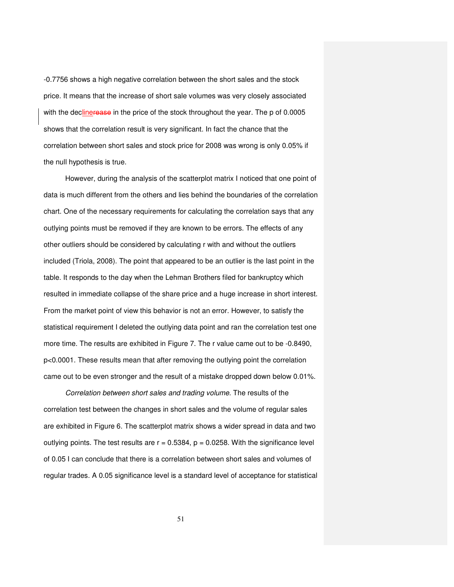-0.7756 shows a high negative correlation between the short sales and the stock price. It means that the increase of short sale volumes was very closely associated with the declinerease in the price of the stock throughout the year. The p of 0.0005 shows that the correlation result is very significant. In fact the chance that the correlation between short sales and stock price for 2008 was wrong is only 0.05% if the null hypothesis is true.

However, during the analysis of the scatterplot matrix I noticed that one point of data is much different from the others and lies behind the boundaries of the correlation chart. One of the necessary requirements for calculating the correlation says that any outlying points must be removed if they are known to be errors. The effects of any other outliers should be considered by calculating r with and without the outliers included (Triola, 2008). The point that appeared to be an outlier is the last point in the table. It responds to the day when the Lehman Brothers filed for bankruptcy which resulted in immediate collapse of the share price and a huge increase in short interest. From the market point of view this behavior is not an error. However, to satisfy the statistical requirement I deleted the outlying data point and ran the correlation test one more time. The results are exhibited in Figure 7. The r value came out to be -0.8490, p<0.0001. These results mean that after removing the outlying point the correlation came out to be even stronger and the result of a mistake dropped down below 0.01%.

Correlation between short sales and trading volume. The results of the correlation test between the changes in short sales and the volume of regular sales are exhibited in Figure 6. The scatterplot matrix shows a wider spread in data and two outlying points. The test results are  $r = 0.5384$ ,  $p = 0.0258$ . With the significance level of 0.05 I can conclude that there is a correlation between short sales and volumes of regular trades. A 0.05 significance level is a standard level of acceptance for statistical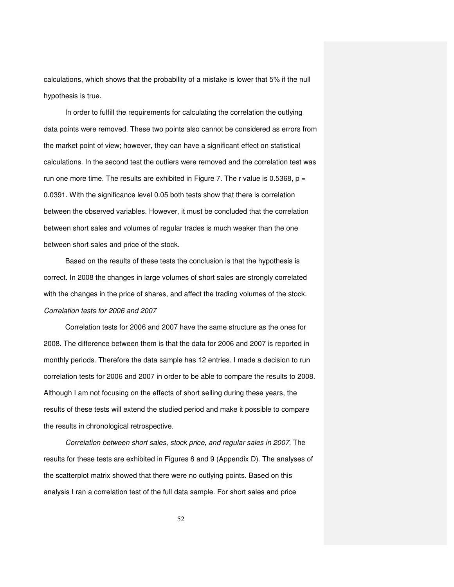calculations, which shows that the probability of a mistake is lower that 5% if the null hypothesis is true.

In order to fulfill the requirements for calculating the correlation the outlying data points were removed. These two points also cannot be considered as errors from the market point of view; however, they can have a significant effect on statistical calculations. In the second test the outliers were removed and the correlation test was run one more time. The results are exhibited in Figure 7. The r value is 0.5368,  $p =$ 0.0391. With the significance level 0.05 both tests show that there is correlation between the observed variables. However, it must be concluded that the correlation between short sales and volumes of regular trades is much weaker than the one between short sales and price of the stock.

Based on the results of these tests the conclusion is that the hypothesis is correct. In 2008 the changes in large volumes of short sales are strongly correlated with the changes in the price of shares, and affect the trading volumes of the stock. Correlation tests for 2006 and 2007

Correlation tests for 2006 and 2007 have the same structure as the ones for 2008. The difference between them is that the data for 2006 and 2007 is reported in monthly periods. Therefore the data sample has 12 entries. I made a decision to run correlation tests for 2006 and 2007 in order to be able to compare the results to 2008. Although I am not focusing on the effects of short selling during these years, the results of these tests will extend the studied period and make it possible to compare the results in chronological retrospective.

Correlation between short sales, stock price, and regular sales in 2007. The results for these tests are exhibited in Figures 8 and 9 (Appendix D). The analyses of the scatterplot matrix showed that there were no outlying points. Based on this analysis I ran a correlation test of the full data sample. For short sales and price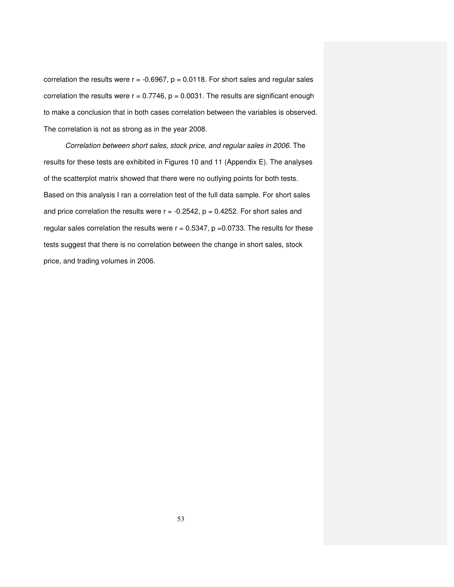correlation the results were  $r = -0.6967$ ,  $p = 0.0118$ . For short sales and regular sales correlation the results were  $r = 0.7746$ ,  $p = 0.0031$ . The results are significant enough to make a conclusion that in both cases correlation between the variables is observed. The correlation is not as strong as in the year 2008.

Correlation between short sales, stock price, and regular sales in 2006. The results for these tests are exhibited in Figures 10 and 11 (Appendix E). The analyses of the scatterplot matrix showed that there were no outlying points for both tests. Based on this analysis I ran a correlation test of the full data sample. For short sales and price correlation the results were  $r = -0.2542$ ,  $p = 0.4252$ . For short sales and regular sales correlation the results were  $r = 0.5347$ ,  $p = 0.0733$ . The results for these tests suggest that there is no correlation between the change in short sales, stock price, and trading volumes in 2006.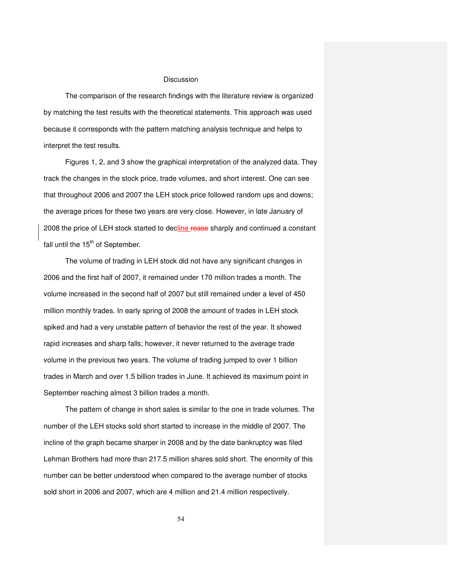#### **Discussion**

The comparison of the research findings with the literature review is organized by matching the test results with the theoretical statements. This approach was used because it corresponds with the pattern matching analysis technique and helps to interpret the test results.

Figures 1, 2, and 3 show the graphical interpretation of the analyzed data. They track the changes in the stock price, trade volumes, and short interest. One can see that throughout 2006 and 2007 the LEH stock price followed random ups and downs; the average prices for these two years are very close. However, in late January of 2008 the price of LEH stock started to decline rease sharply and continued a constant fall until the  $15<sup>th</sup>$  of September.

The volume of trading in LEH stock did not have any significant changes in 2006 and the first half of 2007, it remained under 170 million trades a month. The volume increased in the second half of 2007 but still remained under a level of 450 million monthly trades. In early spring of 2008 the amount of trades in LEH stock spiked and had a very unstable pattern of behavior the rest of the year. It showed rapid increases and sharp falls; however, it never returned to the average trade volume in the previous two years. The volume of trading jumped to over 1 billion trades in March and over 1.5 billion trades in June. It achieved its maximum point in September reaching almost 3 billion trades a month.

The pattern of change in short sales is similar to the one in trade volumes. The number of the LEH stocks sold short started to increase in the middle of 2007. The incline of the graph became sharper in 2008 and by the date bankruptcy was filed Lehman Brothers had more than 217.5 million shares sold short. The enormity of this number can be better understood when compared to the average number of stocks sold short in 2006 and 2007, which are 4 million and 21.4 million respectively.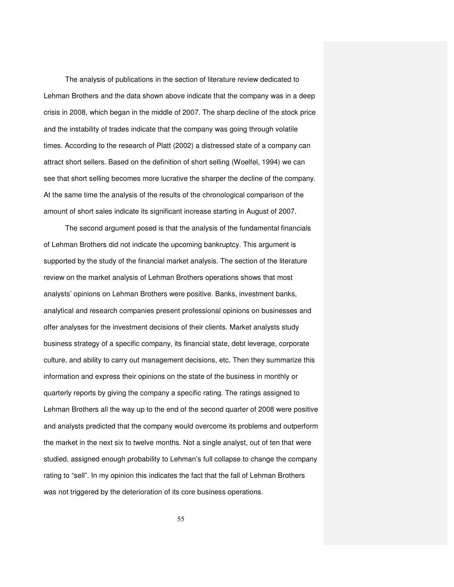The analysis of publications in the section of literature review dedicated to Lehman Brothers and the data shown above indicate that the company was in a deep crisis in 2008, which began in the middle of 2007. The sharp decline of the stock price and the instability of trades indicate that the company was going through volatile times. According to the research of Platt (2002) a distressed state of a company can attract short sellers. Based on the definition of short selling (Woelfel, 1994) we can see that short selling becomes more lucrative the sharper the decline of the company. At the same time the analysis of the results of the chronological comparison of the amount of short sales indicate its significant increase starting in August of 2007.

The second argument posed is that the analysis of the fundamental financials of Lehman Brothers did not indicate the upcoming bankruptcy. This argument is supported by the study of the financial market analysis. The section of the literature review on the market analysis of Lehman Brothers operations shows that most analysts' opinions on Lehman Brothers were positive. Banks, investment banks, analytical and research companies present professional opinions on businesses and offer analyses for the investment decisions of their clients. Market analysts study business strategy of a specific company, its financial state, debt leverage, corporate culture, and ability to carry out management decisions, etc. Then they summarize this information and express their opinions on the state of the business in monthly or quarterly reports by giving the company a specific rating. The ratings assigned to Lehman Brothers all the way up to the end of the second quarter of 2008 were positive and analysts predicted that the company would overcome its problems and outperform the market in the next six to twelve months. Not a single analyst, out of ten that were studied, assigned enough probability to Lehman's full collapse to change the company rating to "sell". In my opinion this indicates the fact that the fall of Lehman Brothers was not triggered by the deterioration of its core business operations.

55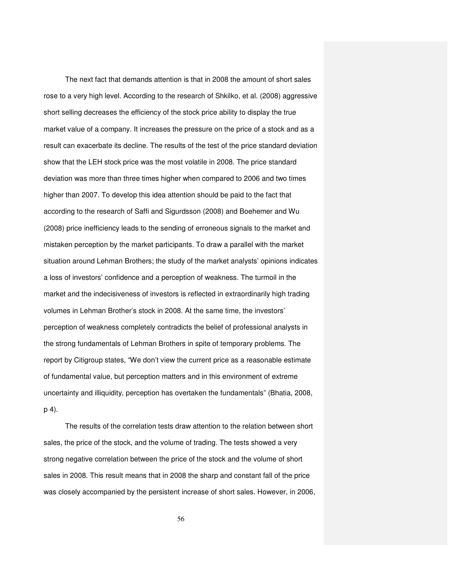The next fact that demands attention is that in 2008 the amount of short sales rose to a very high level. According to the research of Shkilko, et al. (2008) aggressive short selling decreases the efficiency of the stock price ability to display the true market value of a company. It increases the pressure on the price of a stock and as a result can exacerbate its decline. The results of the test of the price standard deviation show that the LEH stock price was the most volatile in 2008. The price standard deviation was more than three times higher when compared to 2006 and two times higher than 2007. To develop this idea attention should be paid to the fact that according to the research of Saffi and Sigurdsson (2008) and Boehemer and Wu (2008) price inefficiency leads to the sending of erroneous signals to the market and mistaken perception by the market participants. To draw a parallel with the market situation around Lehman Brothers; the study of the market analysts' opinions indicates a loss of investors' confidence and a perception of weakness. The turmoil in the market and the indecisiveness of investors is reflected in extraordinarily high trading volumes in Lehman Brother's stock in 2008. At the same time, the investors' perception of weakness completely contradicts the belief of professional analysts in the strong fundamentals of Lehman Brothers in spite of temporary problems. The report by Citigroup states, "We don't view the current price as a reasonable estimate of fundamental value, but perception matters and in this environment of extreme uncertainty and illiquidity, perception has overtaken the fundamentals" (Bhatia, 2008, p 4).

The results of the correlation tests draw attention to the relation between short sales, the price of the stock, and the volume of trading. The tests showed a very strong negative correlation between the price of the stock and the volume of short sales in 2008. This result means that in 2008 the sharp and constant fall of the price was closely accompanied by the persistent increase of short sales. However, in 2006,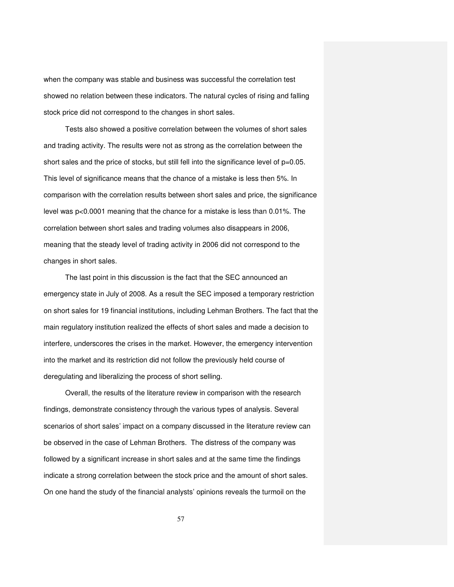when the company was stable and business was successful the correlation test showed no relation between these indicators. The natural cycles of rising and falling stock price did not correspond to the changes in short sales.

Tests also showed a positive correlation between the volumes of short sales and trading activity. The results were not as strong as the correlation between the short sales and the price of stocks, but still fell into the significance level of p=0.05. This level of significance means that the chance of a mistake is less then 5%. In comparison with the correlation results between short sales and price, the significance level was p<0.0001 meaning that the chance for a mistake is less than 0.01%. The correlation between short sales and trading volumes also disappears in 2006, meaning that the steady level of trading activity in 2006 did not correspond to the changes in short sales.

The last point in this discussion is the fact that the SEC announced an emergency state in July of 2008. As a result the SEC imposed a temporary restriction on short sales for 19 financial institutions, including Lehman Brothers. The fact that the main regulatory institution realized the effects of short sales and made a decision to interfere, underscores the crises in the market. However, the emergency intervention into the market and its restriction did not follow the previously held course of deregulating and liberalizing the process of short selling.

Overall, the results of the literature review in comparison with the research findings, demonstrate consistency through the various types of analysis. Several scenarios of short sales' impact on a company discussed in the literature review can be observed in the case of Lehman Brothers. The distress of the company was followed by a significant increase in short sales and at the same time the findings indicate a strong correlation between the stock price and the amount of short sales. On one hand the study of the financial analysts' opinions reveals the turmoil on the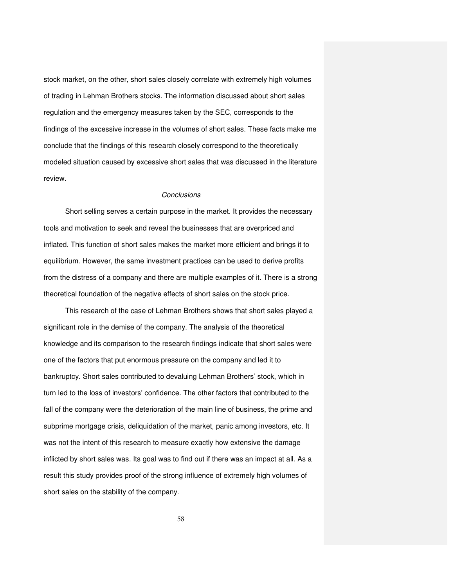stock market, on the other, short sales closely correlate with extremely high volumes of trading in Lehman Brothers stocks. The information discussed about short sales regulation and the emergency measures taken by the SEC, corresponds to the findings of the excessive increase in the volumes of short sales. These facts make me conclude that the findings of this research closely correspond to the theoretically modeled situation caused by excessive short sales that was discussed in the literature review.

## **Conclusions**

Short selling serves a certain purpose in the market. It provides the necessary tools and motivation to seek and reveal the businesses that are overpriced and inflated. This function of short sales makes the market more efficient and brings it to equilibrium. However, the same investment practices can be used to derive profits from the distress of a company and there are multiple examples of it. There is a strong theoretical foundation of the negative effects of short sales on the stock price.

This research of the case of Lehman Brothers shows that short sales played a significant role in the demise of the company. The analysis of the theoretical knowledge and its comparison to the research findings indicate that short sales were one of the factors that put enormous pressure on the company and led it to bankruptcy. Short sales contributed to devaluing Lehman Brothers' stock, which in turn led to the loss of investors' confidence. The other factors that contributed to the fall of the company were the deterioration of the main line of business, the prime and subprime mortgage crisis, deliquidation of the market, panic among investors, etc. It was not the intent of this research to measure exactly how extensive the damage inflicted by short sales was. Its goal was to find out if there was an impact at all. As a result this study provides proof of the strong influence of extremely high volumes of short sales on the stability of the company.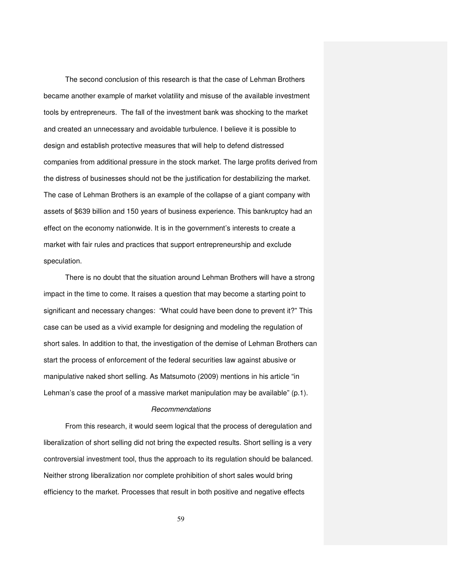The second conclusion of this research is that the case of Lehman Brothers became another example of market volatility and misuse of the available investment tools by entrepreneurs. The fall of the investment bank was shocking to the market and created an unnecessary and avoidable turbulence. I believe it is possible to design and establish protective measures that will help to defend distressed companies from additional pressure in the stock market. The large profits derived from the distress of businesses should not be the justification for destabilizing the market. The case of Lehman Brothers is an example of the collapse of a giant company with assets of \$639 billion and 150 years of business experience. This bankruptcy had an effect on the economy nationwide. It is in the government's interests to create a market with fair rules and practices that support entrepreneurship and exclude speculation.

There is no doubt that the situation around Lehman Brothers will have a strong impact in the time to come. It raises a question that may become a starting point to significant and necessary changes: "What could have been done to prevent it?" This case can be used as a vivid example for designing and modeling the regulation of short sales. In addition to that, the investigation of the demise of Lehman Brothers can start the process of enforcement of the federal securities law against abusive or manipulative naked short selling. As Matsumoto (2009) mentions in his article "in Lehman's case the proof of a massive market manipulation may be available" (p.1).

#### Recommendations

From this research, it would seem logical that the process of deregulation and liberalization of short selling did not bring the expected results. Short selling is a very controversial investment tool, thus the approach to its regulation should be balanced. Neither strong liberalization nor complete prohibition of short sales would bring efficiency to the market. Processes that result in both positive and negative effects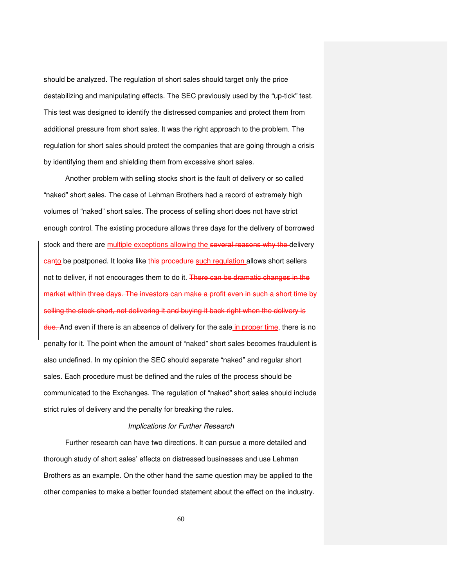should be analyzed. The regulation of short sales should target only the price destabilizing and manipulating effects. The SEC previously used by the "up-tick" test. This test was designed to identify the distressed companies and protect them from additional pressure from short sales. It was the right approach to the problem. The regulation for short sales should protect the companies that are going through a crisis by identifying them and shielding them from excessive short sales.

Another problem with selling stocks short is the fault of delivery or so called "naked" short sales. The case of Lehman Brothers had a record of extremely high volumes of "naked" short sales. The process of selling short does not have strict enough control. The existing procedure allows three days for the delivery of borrowed stock and there are multiple exceptions allowing the several reasons why the delivery **canto** be postponed. It looks like this procedure such regulation allows short sellers not to deliver, if not encourages them to do it. There can be dramatic changes in the market within three days. The investors can make a profit even in such a short time by selling the stock short, not delivering it and buying it back right when the delivery is due. And even if there is an absence of delivery for the sale in proper time, there is no penalty for it. The point when the amount of "naked" short sales becomes fraudulent is also undefined. In my opinion the SEC should separate "naked" and regular short sales. Each procedure must be defined and the rules of the process should be communicated to the Exchanges. The regulation of "naked" short sales should include strict rules of delivery and the penalty for breaking the rules.

#### Implications for Further Research

Further research can have two directions. It can pursue a more detailed and thorough study of short sales' effects on distressed businesses and use Lehman Brothers as an example. On the other hand the same question may be applied to the other companies to make a better founded statement about the effect on the industry.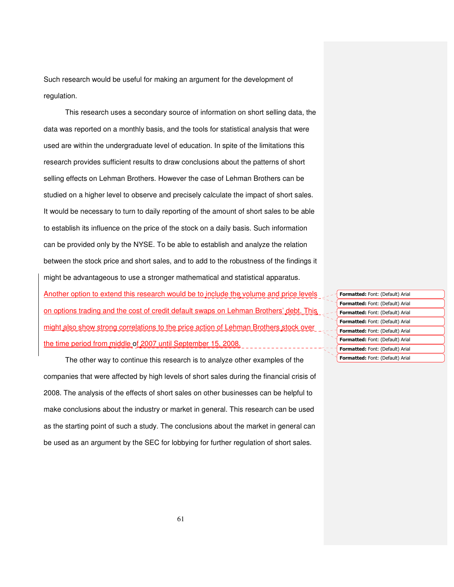Such research would be useful for making an argument for the development of regulation.

This research uses a secondary source of information on short selling data, the data was reported on a monthly basis, and the tools for statistical analysis that were used are within the undergraduate level of education. In spite of the limitations this research provides sufficient results to draw conclusions about the patterns of short selling effects on Lehman Brothers. However the case of Lehman Brothers can be studied on a higher level to observe and precisely calculate the impact of short sales. It would be necessary to turn to daily reporting of the amount of short sales to be able to establish its influence on the price of the stock on a daily basis. Such information can be provided only by the NYSE. To be able to establish and analyze the relation between the stock price and short sales, and to add to the robustness of the findings it might be advantageous to use a stronger mathematical and statistical apparatus.

Another option to extend this research would be to include the volume and price levels on options trading and the cost of credit default swaps on Lehman Brothers' debt. This might also show strong correlations to the price action of Lehman Brothers stock over the time period from middle of 2007 until September 15, 2008.

The other way to continue this research is to analyze other examples of the companies that were affected by high levels of short sales during the financial crisis of 2008. The analysis of the effects of short sales on other businesses can be helpful to make conclusions about the industry or market in general. This research can be used as the starting point of such a study. The conclusions about the market in general can be used as an argument by the SEC for lobbying for further regulation of short sales.

| <b>Formatted:</b> Font: (Default) Arial |
|-----------------------------------------|
| <b>Formatted:</b> Font: (Default) Arial |
| <b>Formatted:</b> Font: (Default) Arial |
| <b>Formatted:</b> Font: (Default) Arial |
| <b>Formatted:</b> Font: (Default) Arial |
| <b>Formatted:</b> Font: (Default) Arial |
| <b>Formatted:</b> Font: (Default) Arial |
| <b>Formatted:</b> Font: (Default) Arial |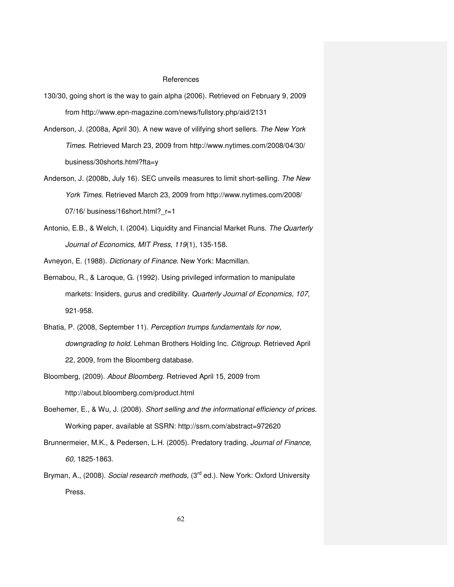#### References

- 130/30, going short is the way to gain alpha (2006). Retrieved on February 9, 2009 from http://www.epn-magazine.com/news/fullstory.php/aid/2131
- Anderson, J. (2008a, April 30). A new wave of vilifying short sellers. The New York Times. Retrieved March 23, 2009 from http://www.nytimes.com/2008/04/30/ business/30shorts.html?fta=y
- Anderson, J. (2008b, July 16). SEC unveils measures to limit short-selling. The New York Times. Retrieved March 23, 2009 from http://www.nytimes.com/2008/ 07/16/ business/16short.html?\_r=1
- Antonio, E.B., & Welch, I. (2004). Liquidity and Financial Market Runs. The Quarterly Journal of Economics, MIT Press, 119(1), 135-158.

Avneyon, E. (1988). Dictionary of Finance. New York: Macmillan.

- Bernabou, R., & Laroque, G. (1992). Using privileged information to manipulate markets: Insiders, gurus and credibility. Quarterly Journal of Economics, 107, 921-958.
- Bhatia, P. (2008, September 11). Perception trumps fundamentals for now, downgrading to hold. Lehman Brothers Holding Inc. Citigroup. Retrieved April 22, 2009, from the Bloomberg database.
- Bloomberg, (2009). About Bloomberg. Retrieved April 15, 2009 from http://about.bloomberg.com/product.html
- Boehemer, E., & Wu, J. (2008). Short selling and the informational efficiency of prices. Working paper, available at SSRN: http://ssrn.com/abstract=972620
- Brunnermeier, M.K., & Pedersen, L.H. (2005). Predatory trading. Journal of Finance, 60, 1825-1863.
- Bryman, A., (2008). Social research methods, (3<sup>rd</sup> ed.). New York: Oxford University Press.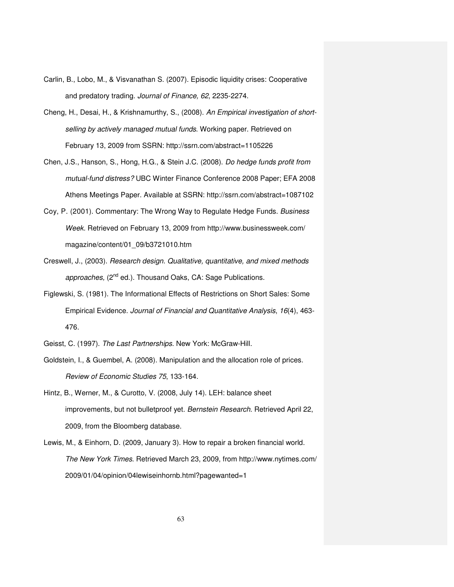- Carlin, B., Lobo, M., & Visvanathan S. (2007). Episodic liquidity crises: Cooperative and predatory trading. Journal of Finance, 62, 2235-2274.
- Cheng, H., Desai, H., & Krishnamurthy, S., (2008). An Empirical investigation of shortselling by actively managed mutual funds. Working paper. Retrieved on February 13, 2009 from SSRN: http://ssrn.com/abstract=1105226
- Chen, J.S., Hanson, S., Hong, H.G., & Stein J.C. (2008). Do hedge funds profit from mutual-fund distress? UBC Winter Finance Conference 2008 Paper; EFA 2008 Athens Meetings Paper. Available at SSRN: http://ssrn.com/abstract=1087102
- Coy, P. (2001). Commentary: The Wrong Way to Regulate Hedge Funds. Business Week. Retrieved on February 13, 2009 from http://www.businessweek.com/ magazine/content/01\_09/b3721010.htm
- Creswell, J., (2003). Research design. Qualitative, quantitative, and mixed methods approaches, (2<sup>nd</sup> ed.). Thousand Oaks, CA: Sage Publications.
- Figlewski, S. (1981). The Informational Effects of Restrictions on Short Sales: Some Empirical Evidence. Journal of Financial and Quantitative Analysis, 16(4), 463- 476.
- Geisst, C. (1997). The Last Partnerships. New York: McGraw-Hill.
- Goldstein, I., & Guembel, A. (2008). Manipulation and the allocation role of prices. Review of Economic Studies 75, 133-164.
- Hintz, B., Werner, M., & Curotto, V. (2008, July 14). LEH: balance sheet improvements, but not bulletproof yet. Bernstein Research. Retrieved April 22, 2009, from the Bloomberg database.
- Lewis, M., & Einhorn, D. (2009, January 3). How to repair a broken financial world. The New York Times. Retrieved March 23, 2009, from http://www.nytimes.com/ 2009/01/04/opinion/04lewiseinhornb.html?pagewanted=1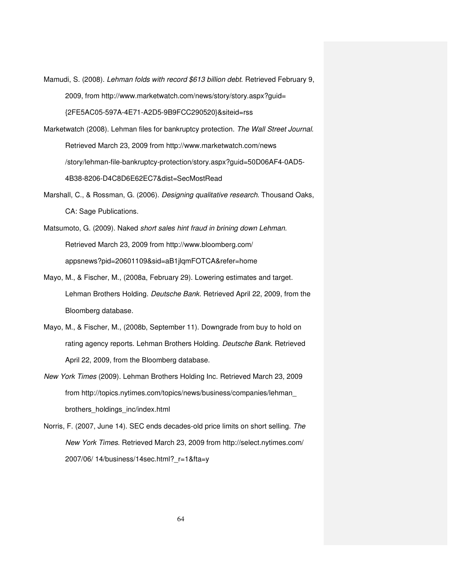- Mamudi, S. (2008). Lehman folds with record \$613 billion debt. Retrieved February 9, 2009, from http://www.marketwatch.com/news/story/story.aspx?guid= {2FE5AC05-597A-4E71-A2D5-9B9FCC290520}&siteid=rss
- Marketwatch (2008). Lehman files for bankruptcy protection. The Wall Street Journal. Retrieved March 23, 2009 from http://www.marketwatch.com/news /story/lehman-file-bankruptcy-protection/story.aspx?guid=50D06AF4-0AD5- 4B38-8206-D4C8D6E62EC7&dist=SecMostRead
- Marshall, C., & Rossman, G. (2006). Designing qualitative research. Thousand Oaks, CA: Sage Publications.
- Matsumoto, G. (2009). Naked short sales hint fraud in brining down Lehman. Retrieved March 23, 2009 from http://www.bloomberg.com/ appsnews?pid=20601109&sid=aB1jlqmFOTCA&refer=home
- Mayo, M., & Fischer, M., (2008a, February 29). Lowering estimates and target. Lehman Brothers Holding. Deutsche Bank. Retrieved April 22, 2009, from the Bloomberg database.
- Mayo, M., & Fischer, M., (2008b, September 11). Downgrade from buy to hold on rating agency reports. Lehman Brothers Holding. Deutsche Bank. Retrieved April 22, 2009, from the Bloomberg database.
- New York Times (2009). Lehman Brothers Holding Inc. Retrieved March 23, 2009 from http://topics.nytimes.com/topics/news/business/companies/lehman\_ brothers\_holdings\_inc/index.html
- Norris, F. (2007, June 14). SEC ends decades-old price limits on short selling. The New York Times. Retrieved March 23, 2009 from http://select.nytimes.com/ 2007/06/ 14/business/14sec.html?\_r=1&fta=y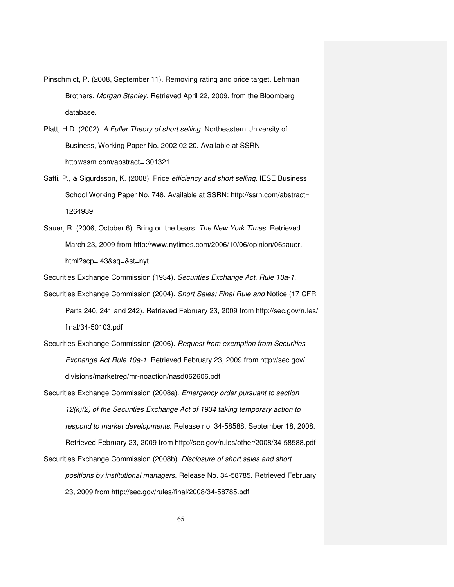- Pinschmidt, P. (2008, September 11). Removing rating and price target. Lehman Brothers. Morgan Stanley. Retrieved April 22, 2009, from the Bloomberg database.
- Platt, H.D. (2002). A Fuller Theory of short selling. Northeastern University of Business, Working Paper No. 2002 02 20. Available at SSRN: http://ssrn.com/abstract= 301321
- Saffi, P., & Sigurdsson, K. (2008). Price efficiency and short selling. IESE Business School Working Paper No. 748. Available at SSRN: http://ssrn.com/abstract= 1264939
- Sauer, R. (2006, October 6). Bring on the bears. The New York Times. Retrieved March 23, 2009 from http://www.nytimes.com/2006/10/06/opinion/06sauer. html?scp= 43&sq=&st=nyt

Securities Exchange Commission (1934). Securities Exchange Act, Rule 10a-1.

- Securities Exchange Commission (2004). Short Sales; Final Rule and Notice (17 CFR Parts 240, 241 and 242). Retrieved February 23, 2009 from http://sec.gov/rules/ final/34-50103.pdf
- Securities Exchange Commission (2006). Request from exemption from Securities Exchange Act Rule 10a-1. Retrieved February 23, 2009 from http://sec.gov/ divisions/marketreg/mr-noaction/nasd062606.pdf
- Securities Exchange Commission (2008a). *Emergency order pursuant to section* 12(k)(2) of the Securities Exchange Act of 1934 taking temporary action to respond to market developments. Release no. 34-58588, September 18, 2008. Retrieved February 23, 2009 from http://sec.gov/rules/other/2008/34-58588.pdf Securities Exchange Commission (2008b). Disclosure of short sales and short positions by institutional managers. Release No. 34-58785. Retrieved February 23, 2009 from http://sec.gov/rules/final/2008/34-58785.pdf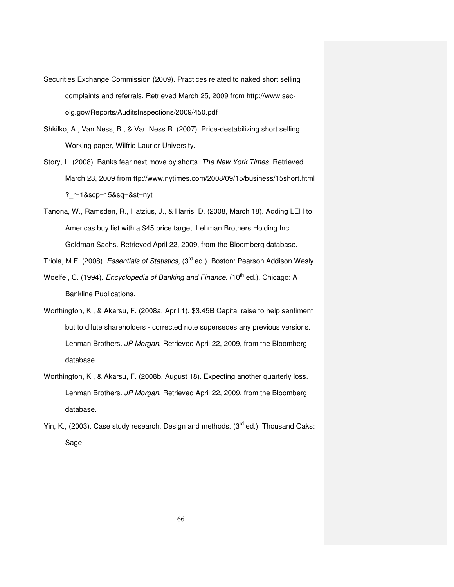- Securities Exchange Commission (2009). Practices related to naked short selling complaints and referrals. Retrieved March 25, 2009 from http://www.secoig.gov/Reports/AuditsInspections/2009/450.pdf
- Shkilko, A., Van Ness, B., & Van Ness R. (2007). Price-destabilizing short selling. Working paper, Wilfrid Laurier University.
- Story, L. (2008). Banks fear next move by shorts. The New York Times. Retrieved March 23, 2009 from ttp://www.nytimes.com/2008/09/15/business/15short.html ?\_r=1&scp=15&sq=&st=nyt
- Tanona, W., Ramsden, R., Hatzius, J., & Harris, D. (2008, March 18). Adding LEH to Americas buy list with a \$45 price target. Lehman Brothers Holding Inc. Goldman Sachs. Retrieved April 22, 2009, from the Bloomberg database.

Triola, M.F. (2008). Essentials of Statistics, (3<sup>rd</sup> ed.). Boston: Pearson Addison Wesly

- Woelfel, C. (1994). Encyclopedia of Banking and Finance. (10<sup>th</sup> ed.). Chicago: A Bankline Publications.
- Worthington, K., & Akarsu, F. (2008a, April 1). \$3.45B Capital raise to help sentiment but to dilute shareholders - corrected note supersedes any previous versions. Lehman Brothers. JP Morgan. Retrieved April 22, 2009, from the Bloomberg database.
- Worthington, K., & Akarsu, F. (2008b, August 18). Expecting another quarterly loss. Lehman Brothers. JP Morgan. Retrieved April 22, 2009, from the Bloomberg database.
- Yin, K., (2003). Case study research. Design and methods. (3<sup>rd</sup> ed.). Thousand Oaks: Sage.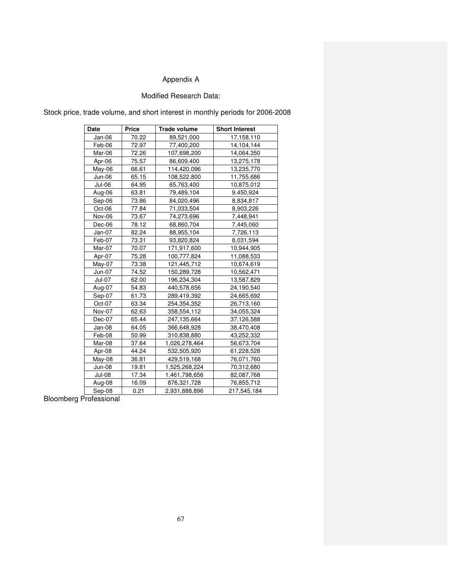# Appendix A

# Modified Research Data:

Stock price, trade volume, and short interest in monthly periods for 2006-2008

| Date          | Price | <b>Trade volume</b> | <b>Short Interest</b> |  |
|---------------|-------|---------------------|-----------------------|--|
| Jan-06        | 70.22 | 89,521,000          | 17,158,110            |  |
| Feb-06        | 72.97 | 77,400,200          | 14,104,144            |  |
| Mar-06        | 72.26 | 107,698,200         | 14,064,350            |  |
| Apr-06        | 75.57 | 86,609,400          | 13,275,178            |  |
| May-06        | 66.61 | 114,420,096         | 13,235,770            |  |
| Jun-06        | 65.15 | 108,522,800         | 11,755,686            |  |
| Jul-06        | 64.95 | 65,763,400          | 10,875,012            |  |
| Aug-06        | 63.81 | 79,489,104          | 9,450,924             |  |
| Sep-06        | 73.86 | 84,020,496          | 8,834,817             |  |
| Oct-06        | 77.84 | 71,033,504          | 8,903,226             |  |
| Nov-06        | 73.67 | 74,273,696          | 7,448,941             |  |
| Dec-06        | 78.12 | 68,860,704          | 7,445,060             |  |
| Jan-07        | 82.24 | 88,955,104          | 7,726,113             |  |
| Feb-07        | 73.31 | 93,820,824          | 8,031,594             |  |
| Mar-07        | 70.07 | 171,917,600         | 10,944,905            |  |
| Apr-07        | 75.28 | 100,777,824         | 11,088,533            |  |
| May-07        | 73.38 | 121,445,712         | 10,674,619            |  |
| Jun-07        | 74.52 | 150,289,728         | 10,562,471            |  |
| Jul-07        | 62.00 | 196,234,304         | 13,587,829            |  |
| Aug-07        | 54.83 | 440,578,656         | 24,190,540            |  |
| Sep-07        | 61.73 | 289,419,392         | 24,665,692            |  |
| Oct-07        | 63.34 | 254,354,352         | 26,713,160            |  |
| Nov-07        | 62.63 | 358,554,112         | 34,055,324            |  |
| Dec-07        | 65.44 | 247,135,664         | 37,126,588            |  |
| Jan-08        | 64.05 | 366,648,928         | 38,470,408            |  |
| Feb-08        | 50.99 | 310,838,880         | 43,252,332            |  |
| Mar-08        | 37.64 | 1,026,278,464       | 56,673,704            |  |
| Apr-08        | 44.24 | 532,505,920         | 61,228,528            |  |
| May-08        | 36.81 | 429,519,168         | 76,071,760            |  |
| <b>Jun-08</b> | 19.81 | 1,525,268,224       | 70,312,680            |  |
| Jul-08        | 17.34 | 1,461,798,656       | 82,087,768            |  |
| Aug-08        | 16.09 | 876,321,728         | 76,855,712            |  |
| Sep-08        | 0.21  | 2,931,888,896       | 217,545,184           |  |

Bloomberg Professional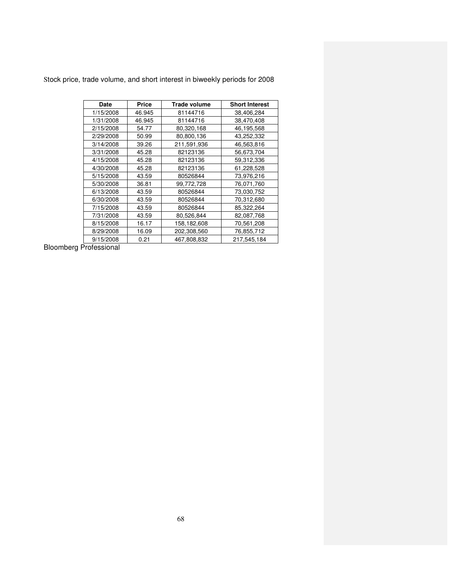|  |  | Stock price, trade volume, and short interest in biweekly periods for 2008 |  |  |
|--|--|----------------------------------------------------------------------------|--|--|
|  |  |                                                                            |  |  |

| Date      | Price  | Trade volume | <b>Short Interest</b> |
|-----------|--------|--------------|-----------------------|
| 1/15/2008 | 46.945 | 81144716     | 38,406,284            |
| 1/31/2008 | 46.945 | 81144716     | 38,470,408            |
| 2/15/2008 | 54.77  | 80,320,168   | 46,195,568            |
| 2/29/2008 | 50.99  | 80,800,136   | 43,252,332            |
| 3/14/2008 | 39.26  | 211,591,936  | 46,563,816            |
| 3/31/2008 | 45.28  | 82123136     | 56,673,704            |
| 4/15/2008 | 45.28  | 82123136     | 59,312,336            |
| 4/30/2008 | 45.28  | 82123136     | 61,228,528            |
| 5/15/2008 | 43.59  | 80526844     | 73,976,216            |
| 5/30/2008 | 36.81  | 99,772,728   | 76,071,760            |
| 6/13/2008 | 43.59  | 80526844     | 73,030,752            |
| 6/30/2008 | 43.59  | 80526844     | 70,312,680            |
| 7/15/2008 | 43.59  | 80526844     | 85,322,264            |
| 7/31/2008 | 43.59  | 80,526,844   | 82,087,768            |
| 8/15/2008 | 16.17  | 158,182,608  | 70,561,208            |
| 8/29/2008 | 16.09  | 202,308,560  | 76,855,712            |
| 9/15/2008 | 0.21   | 467,808,832  | 217,545,184           |

Bloomberg Professional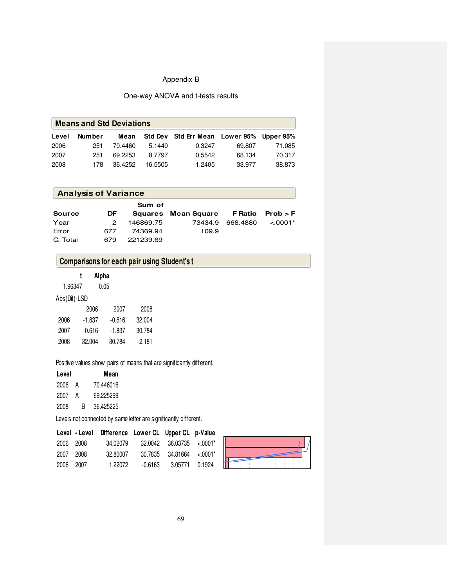# Appendix B

# One-way ANOVA and t-tests results

|       | <b>Means and Std Deviations</b> |         |         |                                          |        |        |  |
|-------|---------------------------------|---------|---------|------------------------------------------|--------|--------|--|
| Level | Number                          | Mean    |         | Std Dev Std Err Mean Lower 95% Upper 95% |        |        |  |
| 2006  | 251                             | 70.4460 | 5.1440  | 0.3247                                   | 69.807 | 71.085 |  |
| 2007  | 251                             | 69.2253 | 8.7797  | 0.5542                                   | 68.134 | 70.317 |  |
| 2008  | 178.                            | 36.4252 | 16.5505 | 1.2405                                   | 33.977 | 38.873 |  |

| <b>Analysis of Variance</b> |     |           |                     |                |            |
|-----------------------------|-----|-----------|---------------------|----------------|------------|
|                             |     | Sum of    |                     |                |            |
| <b>Source</b>               | DF  |           | Squares Mean Square | <b>F</b> Ratio | Prob > F   |
| Year                        | 2   | 146869.75 | 73434.9             | 668.4880       | $< .0001*$ |
| Error                       | 677 | 74369.94  | 109.9               |                |            |
| C. Total                    | 679 | 221239.69 |                     |                |            |

# **Comparisons for each pair using Student's t**

|  | Alpha |
|--|-------|
|--|-------|

1.96347 0.05

# Abs(Dif)-LSD

|      | 2006     | 2007     | 2008     |
|------|----------|----------|----------|
| 2006 | $-1.837$ | $-0.616$ | 32.004   |
| 2007 | $-0.616$ | $-1.837$ | 30.784   |
| 2008 | 32.004   | 30.784   | $-2.181$ |

## Positive values show pairs of means that are significantly different.

| Level |   | Mean      |
|-------|---|-----------|
| 2006  | A | 70.446016 |
| 2007  | А | 69.225299 |
| 2008  | R | 36.425225 |

Levels not connected by same letter are significantly different.

|           | Level - Level Difference Lower CL Upper CL p-Value |         |                                     |  |
|-----------|----------------------------------------------------|---------|-------------------------------------|--|
| 2006 2008 | 34.02079                                           |         | $32.0042$ $36.03735$ $\lt$ .0001*   |  |
| 2007 2008 | 32.80007                                           |         | $30.7835$ $34.81664$ $\leq 0.001$ * |  |
| 2006 2007 | 1.22072                                            | -0.6163 | 3.05771 0.1924                      |  |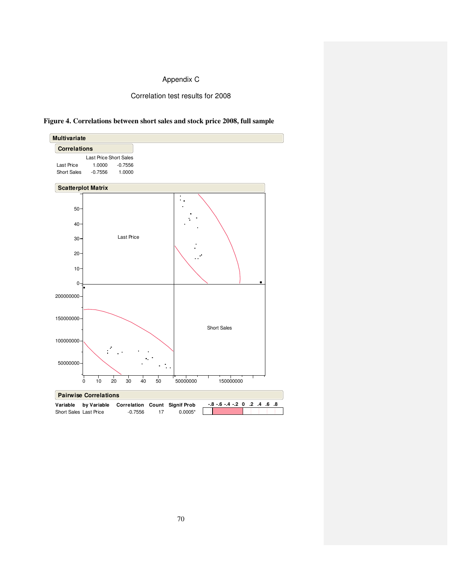# Appendix C

## Correlation test results for 2008



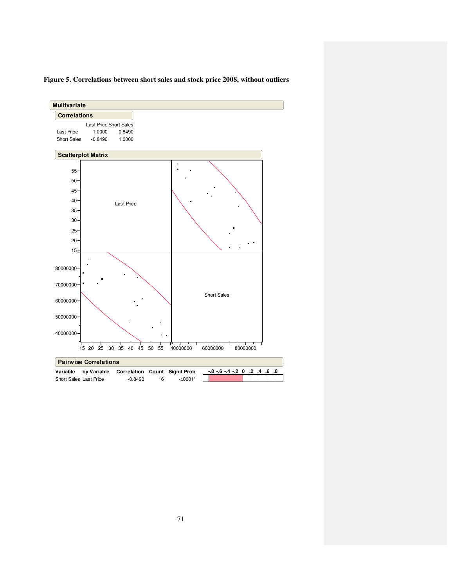

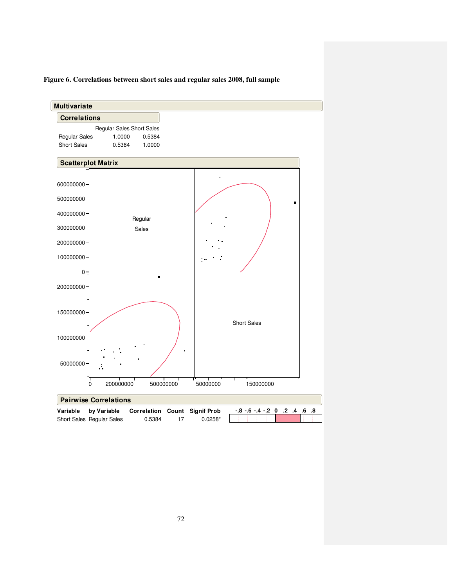

## **Figure 6. Correlations between short sales and regular sales 2008, full sample**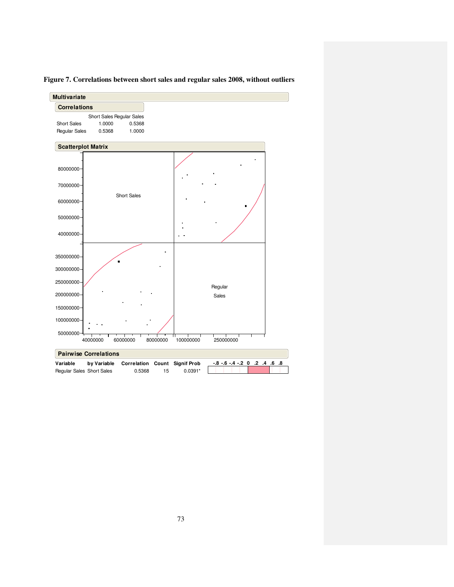

**Figure 7. Correlations between short sales and regular sales 2008, without outliers**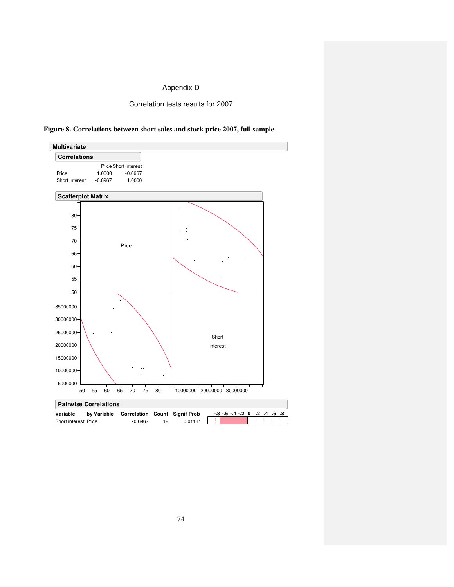## Appendix D

Correlation tests results for 2007



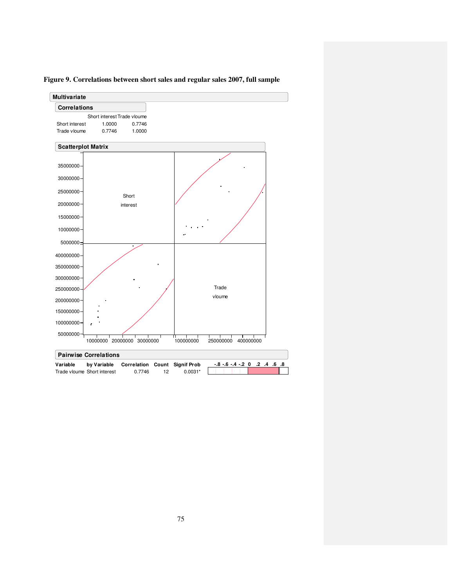

**Figure 9. Correlations between short sales and regular sales 2007, full sample**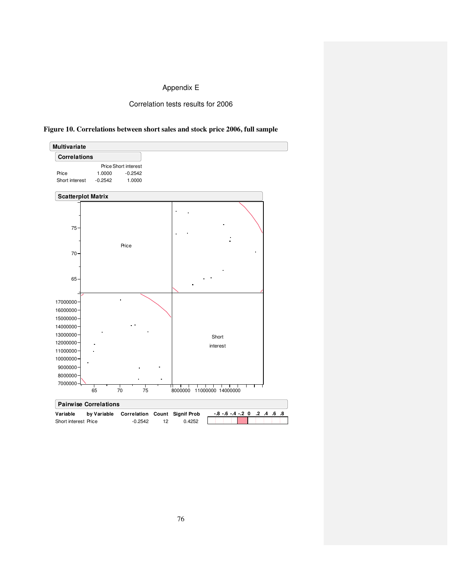## Appendix E

## Correlation tests results for 2006